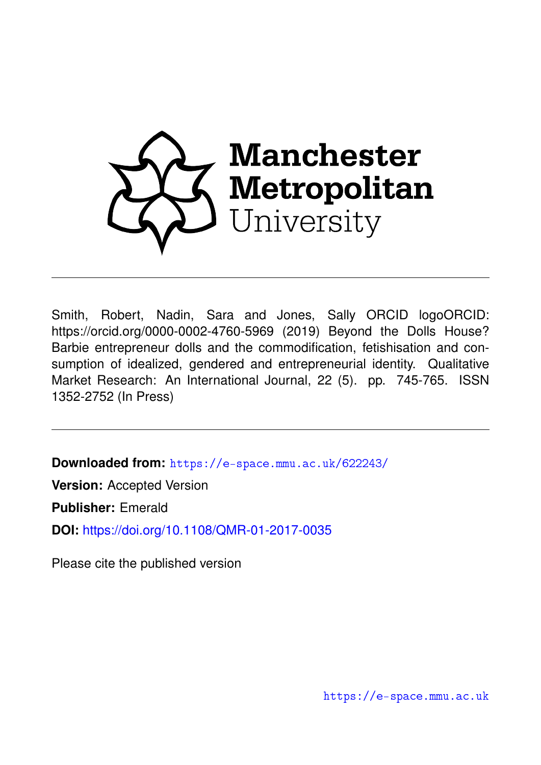

Smith, Robert, Nadin, Sara and Jones, Sally ORCID logoORCID: https://orcid.org/0000-0002-4760-5969 (2019) Beyond the Dolls House? Barbie entrepreneur dolls and the commodification, fetishisation and consumption of idealized, gendered and entrepreneurial identity. Qualitative Market Research: An International Journal, 22 (5). pp. 745-765. ISSN 1352-2752 (In Press)

**Downloaded from:** <https://e-space.mmu.ac.uk/622243/>

**Version:** Accepted Version

**Publisher:** Emerald

**DOI:** <https://doi.org/10.1108/QMR-01-2017-0035>

Please cite the published version

<https://e-space.mmu.ac.uk>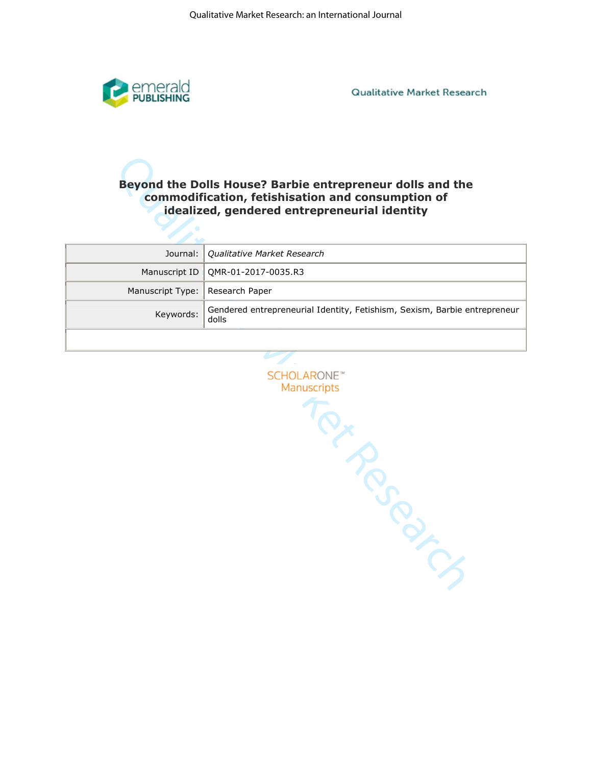

**Qualitative Market Research** 

# **commodification, fetishisation and consumption of idealized, gendered entrepreneurial identity**

|                                   | Journal:   Qualitative Market Research                                             |
|-----------------------------------|------------------------------------------------------------------------------------|
|                                   | Manuscript ID   QMR-01-2017-0035.R3                                                |
| Manuscript Type:   Research Paper |                                                                                    |
| Keywords:                         | Gendered entrepreneurial Identity, Fetishism, Sexism, Barbie entrepreneur<br>dolls |
|                                   |                                                                                    |

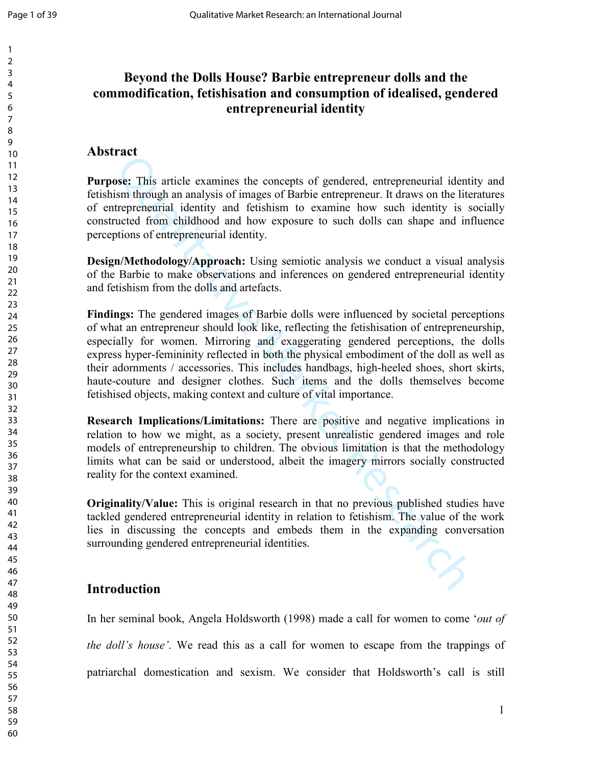# **Beyond the Dolls House? Barbie entrepreneur dolls and the commodification, fetishisation and consumption of idealised, gendered entrepreneurial identity**

## **Abstract**

**Purpose:** This article examines the concepts of gendered, entrepreneurial identity and fetishism through an analysis of images of Barbie entrepreneur. It draws on the literatures of entrepreneurial identity and fetishism to examine how such identity is socially constructed from childhood and how exposure to such dolls can shape and influence perceptions of entrepreneurial identity.

**Design/Methodology/Approach:** Using semiotic analysis we conduct a visual analysis of the Barbie to make observations and inferences on gendered entrepreneurial identity and fetishism from the dolls and artefacts.

This article examines the concepts of gendered, entrepreneurial identifies<br>is more this article examines the concepts of gendered, entrepreneurial identif<br>trepreneurial identity and fetishism to examine how such identity i **Findings:** The gendered images of Barbie dolls were influenced by societal perceptions of what an entrepreneur should look like, reflecting the fetishisation of entrepreneurship, especially for women. Mirroring and exaggerating gendered perceptions, the dolls express hyper-femininity reflected in both the physical embodiment of the doll as well as their adornments / accessories. This includes handbags, high-heeled shoes, short skirts, haute-couture and designer clothes. Such items and the dolls themselves become fetishised objects, making context and culture of vital importance.

**Research Implications/Limitations:** There are positive and negative implications in relation to how we might, as a society, present unrealistic gendered images and role models of entrepreneurship to children. The obvious limitation is that the methodology limits what can be said or understood, albeit the imagery mirrors socially constructed reality for the context examined.

**Originality/Value:** This is original research in that no previous published studies have tackled gendered entrepreneurial identity in relation to fetishism. The value of the work lies in discussing the concepts and embeds them in the expanding conversation surrounding gendered entrepreneurial identities.

## **Introduction**

In her seminal book, Angela Holdsworth (1998) made a call for women to come '*out of the doll's house'*. We read this as a call for women to escape from the trappings of patriarchal domestication and sexism. We consider that Holdsworth's call is still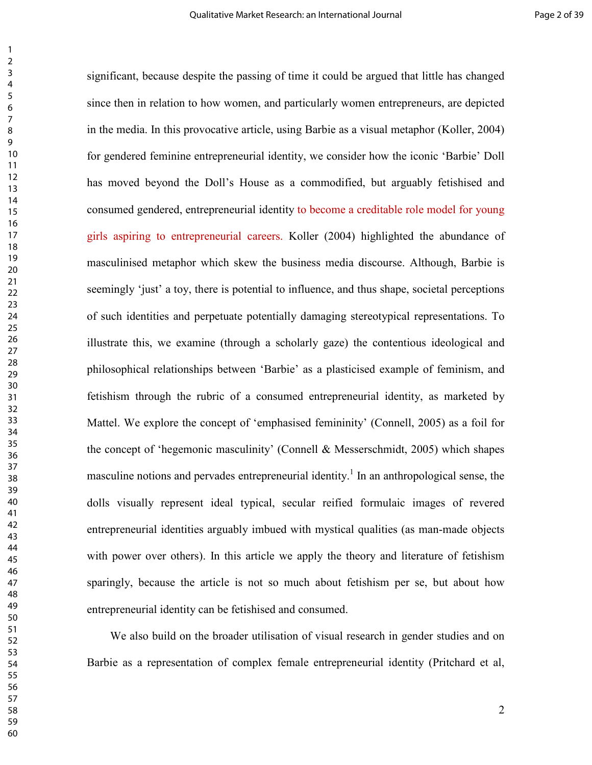matered feminine entrepreneurial identity, we consider how the iconic "Barbicanord beyond the Doll's House as a commodified, but arguably fetishises med gendered, entrepreneurial identity to become a creditable role model significant, because despite the passing of time it could be argued that little has changed since then in relation to how women, and particularly women entrepreneurs, are depicted in the media. In this provocative article, using Barbie as a visual metaphor (Koller, 2004) for gendered feminine entrepreneurial identity, we consider how the iconic 'Barbie' Doll has moved beyond the Doll's House as a commodified, but arguably fetishised and consumed gendered, entrepreneurial identity to become a creditable role model for young girls aspiring to entrepreneurial careers. Koller (2004) highlighted the abundance of masculinised metaphor which skew the business media discourse. Although, Barbie is seemingly 'just' a toy, there is potential to influence, and thus shape, societal perceptions of such identities and perpetuate potentially damaging stereotypical representations. To illustrate this, we examine (through a scholarly gaze) the contentious ideological and philosophical relationships between 'Barbie' as a plasticised example of feminism, and fetishism through the rubric of a consumed entrepreneurial identity, as marketed by Mattel. We explore the concept of 'emphasised femininity' (Connell, 2005) as a foil for the concept of 'hegemonic masculinity' (Connell & Messerschmidt, 2005) which shapes masculine notions and pervades entrepreneurial identity.<sup>1</sup> In an anthropological sense, the dolls visually represent ideal typical, secular reified formulaic images of revered entrepreneurial identities arguably imbued with mystical qualities (as man-made objects with power over others). In this article we apply the theory and literature of fetishism sparingly, because the article is not so much about fetishism per se, but about how entrepreneurial identity can be fetishised and consumed.

 We also build on the broader utilisation of visual research in gender studies and on Barbie as a representation of complex female entrepreneurial identity (Pritchard et al,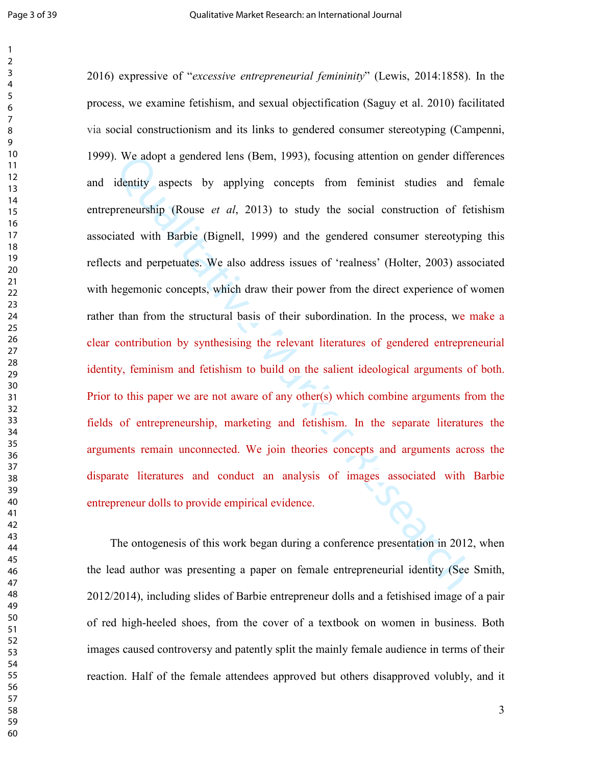I. We adopt a gendered lens (Bem, 1993), focusing attention on gender differentiative aspects by applying concepts from feminist studies and 1 or<br>eneurship (Rouse *et al.*, 2013) to study the social construction of fet<br>ia 2016) expressive of "*excessive entrepreneurial femininity*" (Lewis, 2014:1858). In the process, we examine fetishism, and sexual objectification (Saguy et al. 2010) facilitated via social constructionism and its links to gendered consumer stereotyping (Campenni, 1999). We adopt a gendered lens (Bem, 1993), focusing attention on gender differences and identity aspects by applying concepts from feminist studies and female entrepreneurship (Rouse *et al*, 2013) to study the social construction of fetishism associated with Barbie (Bignell, 1999) and the gendered consumer stereotyping this reflects and perpetuates. We also address issues of 'realness' (Holter, 2003) associated with hegemonic concepts, which draw their power from the direct experience of women rather than from the structural basis of their subordination. In the process, we make a clear contribution by synthesising the relevant literatures of gendered entrepreneurial identity, feminism and fetishism to build on the salient ideological arguments of both. Prior to this paper we are not aware of any other(s) which combine arguments from the fields of entrepreneurship, marketing and fetishism. In the separate literatures the arguments remain unconnected. We join theories concepts and arguments across the disparate literatures and conduct an analysis of images associated with Barbie entrepreneur dolls to provide empirical evidence.

 The ontogenesis of this work began during a conference presentation in 2012, when the lead author was presenting a paper on female entrepreneurial identity (See Smith, 2012/2014), including slides of Barbie entrepreneur dolls and a fetishised image of a pair of red high-heeled shoes, from the cover of a textbook on women in business. Both images caused controversy and patently split the mainly female audience in terms of their reaction. Half of the female attendees approved but others disapproved volubly, and it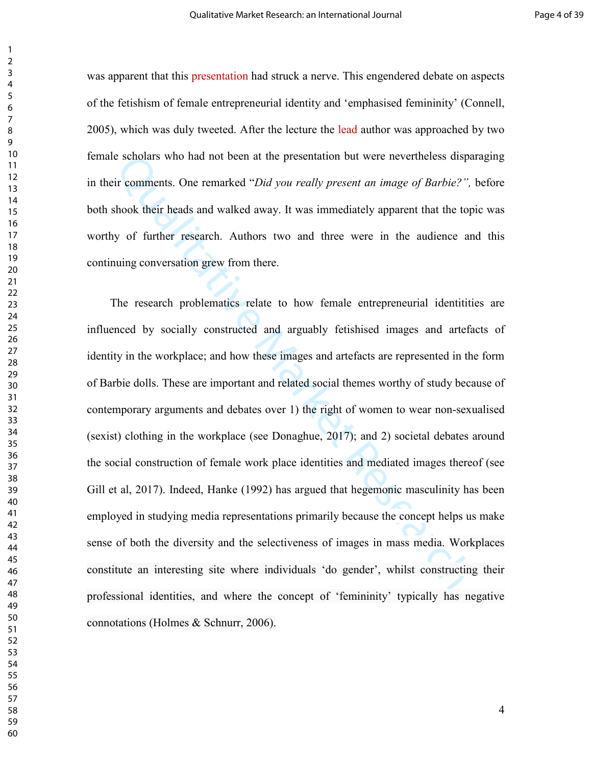was apparent that this presentation had struck a nerve. This engendered debate on aspects of the fetishism of female entrepreneurial identity and 'emphasised femininity' (Connell, 2005), which was duly tweeted. After the lecture the lead author was approached by two female scholars who had not been at the presentation but were nevertheless disparaging in their comments. One remarked "*Did you really present an image of Barbie?",* before both shook their heads and walked away. It was immediately apparent that the topic was worthy of further research. Authors two and three were in the audience and this continuing conversation grew from there.

is escholars who had not been at the presentation but were nevertheless dispate in exponents. One remarked "*Did you really present an image of Barbie?*", shook their heads and walked away. It was immediately apparent that The research problematics relate to how female entrepreneurial identitities are influenced by socially constructed and arguably fetishised images and artefacts of identity in the workplace; and how these images and artefacts are represented in the form of Barbie dolls. These are important and related social themes worthy of study because of contemporary arguments and debates over 1) the right of women to wear non-sexualised (sexist) clothing in the workplace (see Donaghue, 2017); and 2) societal debates around the social construction of female work place identities and mediated images thereof (see Gill et al, 2017). Indeed, Hanke (1992) has argued that hegemonic masculinity has been employed in studying media representations primarily because the concept helps us make sense of both the diversity and the selectiveness of images in mass media. Workplaces constitute an interesting site where individuals 'do gender', whilst constructing their professional identities, and where the concept of 'femininity' typically has negative connotations (Holmes & Schnurr, 2006).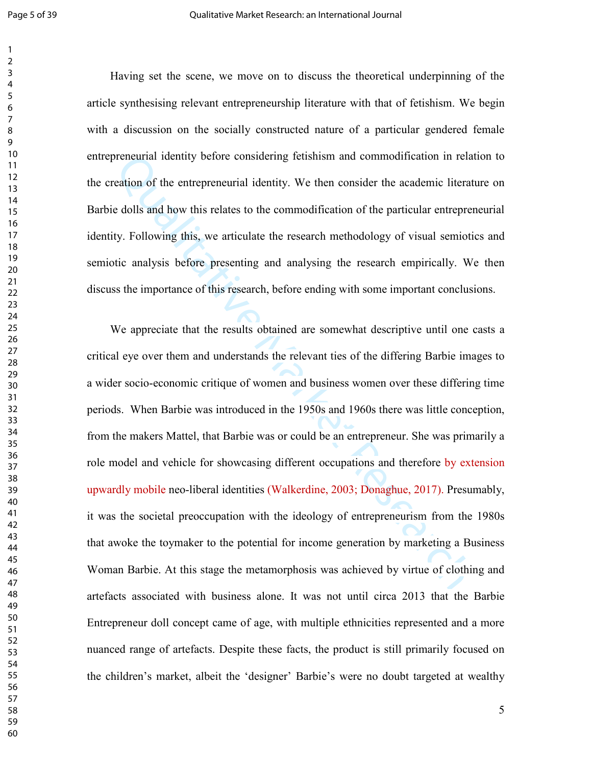Having set the scene, we move on to discuss the theoretical underpinning of the article synthesising relevant entrepreneurship literature with that of fetishism. We begin with a discussion on the socially constructed nature of a particular gendered female entrepreneurial identity before considering fetishism and commodification in relation to the creation of the entrepreneurial identity. We then consider the academic literature on Barbie dolls and how this relates to the commodification of the particular entrepreneurial identity. Following this, we articulate the research methodology of visual semiotics and semiotic analysis before presenting and analysing the research empirically. We then discuss the importance of this research, before ending with some important conclusions.

reneural identity before considering fetishism and commodification in relateation of the entrepreneurial identity. We then consider the academic literate dells and how this relates to the commodification of the particular We appreciate that the results obtained are somewhat descriptive until one casts a critical eye over them and understands the relevant ties of the differing Barbie images to a wider socio-economic critique of women and business women over these differing time periods. When Barbie was introduced in the 1950s and 1960s there was little conception, from the makers Mattel, that Barbie was or could be an entrepreneur. She was primarily a role model and vehicle for showcasing different occupations and therefore by extension upwardly mobile neo-liberal identities (Walkerdine, 2003; Donaghue, 2017). Presumably, it was the societal preoccupation with the ideology of entrepreneurism from the 1980s that awoke the toymaker to the potential for income generation by marketing a Business Woman Barbie. At this stage the metamorphosis was achieved by virtue of clothing and artefacts associated with business alone. It was not until circa 2013 that the Barbie Entrepreneur doll concept came of age, with multiple ethnicities represented and a more nuanced range of artefacts. Despite these facts, the product is still primarily focused on the children's market, albeit the 'designer' Barbie's were no doubt targeted at wealthy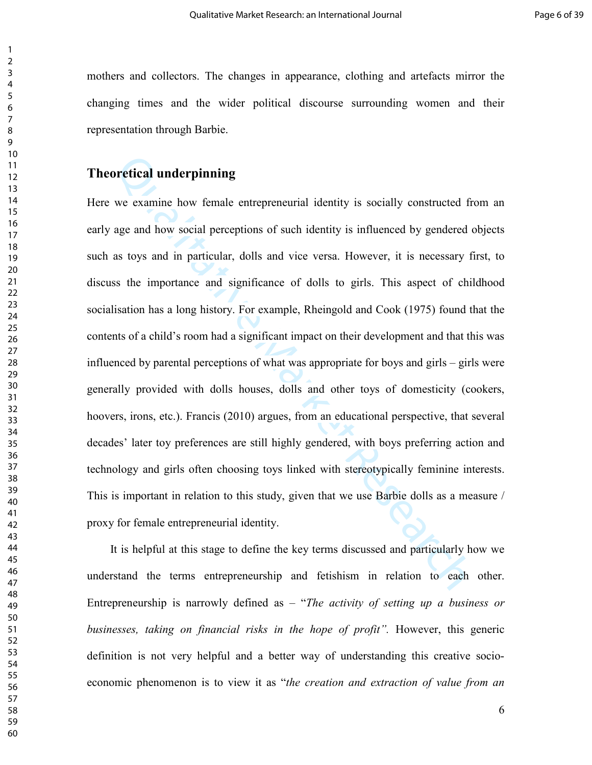mothers and collectors. The changes in appearance, clothing and artefacts mirror the changing times and the wider political discourse surrounding women and their representation through Barbie.

## **Theoretical underpinning**

**Durifical underpinning**<br>we examine how female entrepreneurial identity is socially constructed fre<br>age and how social perceptions of such identity is influenced by gendered cas<br>toys and in particular, dolls and vice versa Here we examine how female entrepreneurial identity is socially constructed from an early age and how social perceptions of such identity is influenced by gendered objects such as toys and in particular, dolls and vice versa. However, it is necessary first, to discuss the importance and significance of dolls to girls. This aspect of childhood socialisation has a long history. For example, Rheingold and Cook (1975) found that the contents of a child's room had a significant impact on their development and that this was influenced by parental perceptions of what was appropriate for boys and girls – girls were generally provided with dolls houses, dolls and other toys of domesticity (cookers, hoovers, irons, etc.). Francis (2010) argues, from an educational perspective, that several decades' later toy preferences are still highly gendered, with boys preferring action and technology and girls often choosing toys linked with stereotypically feminine interests. This is important in relation to this study, given that we use Barbie dolls as a measure / proxy for female entrepreneurial identity.

 It is helpful at this stage to define the key terms discussed and particularly how we understand the terms entrepreneurship and fetishism in relation to each other. Entrepreneurship is narrowly defined as – "*The activity of setting up a business or businesses, taking on financial risks in the hope of profit".* However, this generic definition is not very helpful and a better way of understanding this creative socioeconomic phenomenon is to view it as "*the creation and extraction of value from an*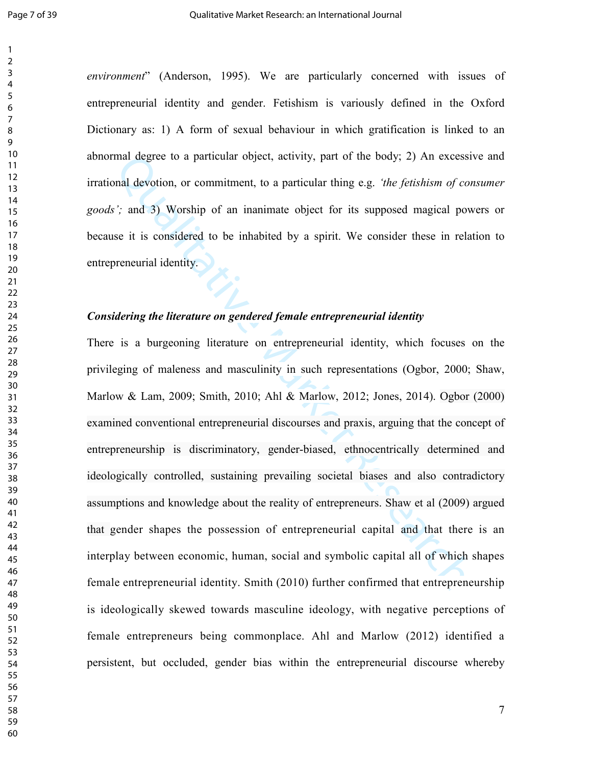*environment*" (Anderson, 1995). We are particularly concerned with issues of entrepreneurial identity and gender. Fetishism is variously defined in the Oxford Dictionary as: 1) A form of sexual behaviour in which gratification is linked to an abnormal degree to a particular object, activity, part of the body; 2) An excessive and irrational devotion, or commitment, to a particular thing e.g. *'the fetishism of consumer goods';* and 3) Worship of an inanimate object for its supposed magical powers or because it is considered to be inhabited by a spirit. We consider these in relation to entrepreneurial identity.

## *Considering the literature on gendered female entrepreneurial identity*

mal degree to a particular object, activity, part of the body; 2) An excessional devotion, or commitment, to a particular thing e.g. *'the fetishism of con*<br>  $\ddot{v}$ '; and 3) Worship of an inanimate object for its suppos There is a burgeoning literature on entrepreneurial identity, which focuses on the privileging of maleness and masculinity in such representations (Ogbor, 2000; Shaw, Marlow & Lam, 2009; Smith, 2010; Ahl & Marlow, 2012; Jones, 2014). Ogbor (2000) examined conventional entrepreneurial discourses and praxis, arguing that the concept of entrepreneurship is discriminatory, gender-biased, ethnocentrically determined and ideologically controlled, sustaining prevailing societal biases and also contradictory assumptions and knowledge about the reality of entrepreneurs. Shaw et al (2009) argued that gender shapes the possession of entrepreneurial capital and that there is an interplay between economic, human, social and symbolic capital all of which shapes female entrepreneurial identity. Smith (2010) further confirmed that entrepreneurship is ideologically skewed towards masculine ideology, with negative perceptions of female entrepreneurs being commonplace. Ahl and Marlow (2012) identified a persistent, but occluded, gender bias within the entrepreneurial discourse whereby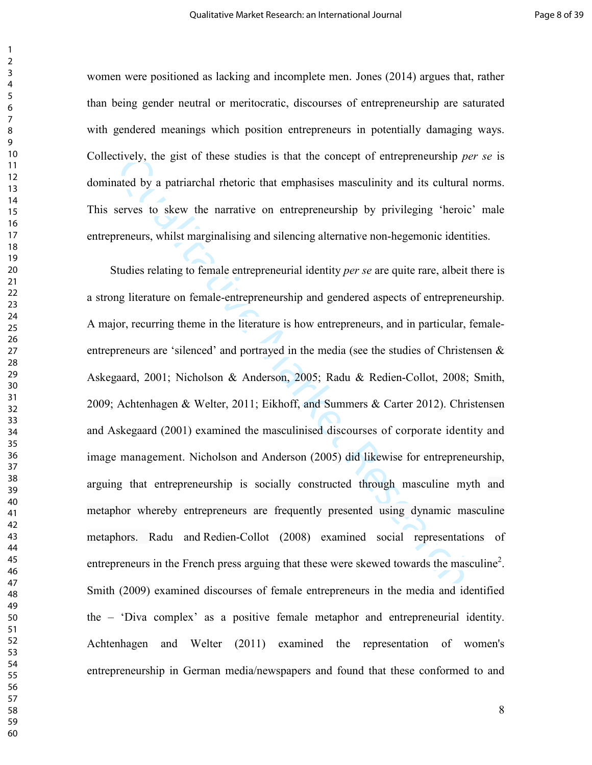women were positioned as lacking and incomplete men. Jones (2014) argues that, rather than being gender neutral or meritocratic, discourses of entrepreneurship are saturated with gendered meanings which position entrepreneurs in potentially damaging ways. Collectively, the gist of these studies is that the concept of entrepreneurship *per se* is dominated by a patriarchal rhetoric that emphasises masculinity and its cultural norms. This serves to skew the narrative on entrepreneurship by privileging 'heroic' male entrepreneurs, whilst marginalising and silencing alternative non-hegemonic identities.

etively, the gist of these studies is that the concept of entrepreneurship *perated* by a patriarchal rhetoric that emphasises masculinity and its cultural i<br>serves to skew the narrative on entrepreneurship by privileging Studies relating to female entrepreneurial identity *per se* are quite rare, albeit there is a strong literature on female-entrepreneurship and gendered aspects of entrepreneurship. A major, recurring theme in the literature is how entrepreneurs, and in particular, femaleentrepreneurs are 'silenced' and portrayed in the media (see the studies of Christensen & Askegaard, 2001; Nicholson & Anderson, 2005; Radu & Redien-Collot, 2008; Smith, 2009; Achtenhagen & Welter, 2011; Eikhoff, and Summers & Carter 2012). Christensen and Askegaard (2001) examined the masculinised discourses of corporate identity and image management. Nicholson and Anderson (2005) did likewise for entrepreneurship, arguing that entrepreneurship is socially constructed through masculine myth and metaphor whereby entrepreneurs are frequently presented using dynamic masculine metaphors. Radu and Redien-Collot (2008) examined social representations of entrepreneurs in the French press arguing that these were skewed towards the masculine<sup>2</sup>. Smith (2009) examined discourses of female entrepreneurs in the media and identified the – 'Diva complex' as a positive female metaphor and entrepreneurial identity. Achtenhagen and Welter (2011) examined the representation of women's entrepreneurship in German media/newspapers and found that these conformed to and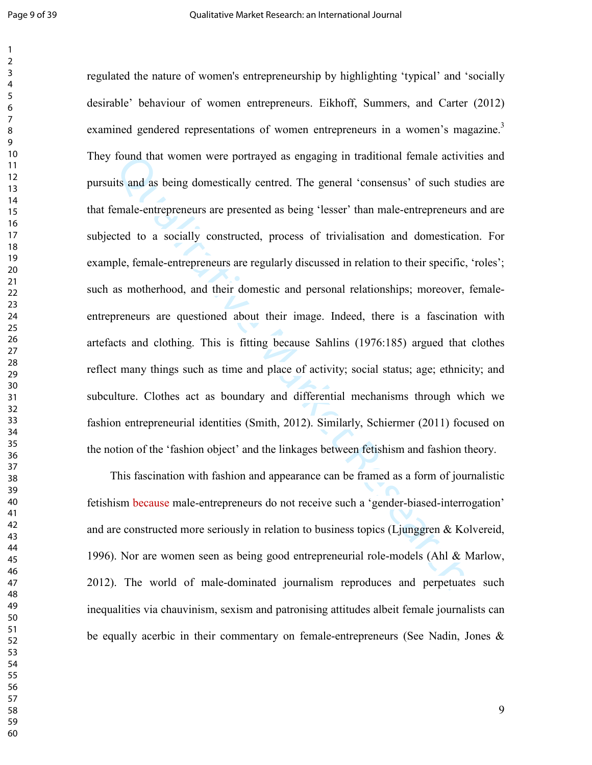found that women were portrayed as engaging in traditional female activitive<br>its and as being domestically centred. The general 'consensus' of such studie<br>nmale-entrepreneurs are presented as being 'lesser' than male-entre regulated the nature of women's entrepreneurship by highlighting 'typical' and 'socially desirable' behaviour of women entrepreneurs. Eikhoff, Summers, and Carter (2012) examined gendered representations of women entrepreneurs in a women's magazine.<sup>3</sup> They found that women were portrayed as engaging in traditional female activities and pursuits and as being domestically centred. The general 'consensus' of such studies are that female-entrepreneurs are presented as being 'lesser' than male-entrepreneurs and are subjected to a socially constructed, process of trivialisation and domestication. For example, female-entrepreneurs are regularly discussed in relation to their specific, 'roles'; such as motherhood, and their domestic and personal relationships; moreover, femaleentrepreneurs are questioned about their image. Indeed, there is a fascination with artefacts and clothing. This is fitting because Sahlins (1976:185) argued that clothes reflect many things such as time and place of activity; social status; age; ethnicity; and subculture. Clothes act as boundary and differential mechanisms through which we fashion entrepreneurial identities (Smith, 2012). Similarly, Schiermer (2011) focused on the notion of the 'fashion object' and the linkages between fetishism and fashion theory.

 This fascination with fashion and appearance can be framed as a form of journalistic fetishism because male-entrepreneurs do not receive such a 'gender-biased-interrogation' and are constructed more seriously in relation to business topics (Ljunggren & Kolvereid, 1996). Nor are women seen as being good entrepreneurial role-models (Ahl & Marlow, 2012). The world of male-dominated journalism reproduces and perpetuates such inequalities via chauvinism, sexism and patronising attitudes albeit female journalists can be equally acerbic in their commentary on female-entrepreneurs (See Nadin, Jones &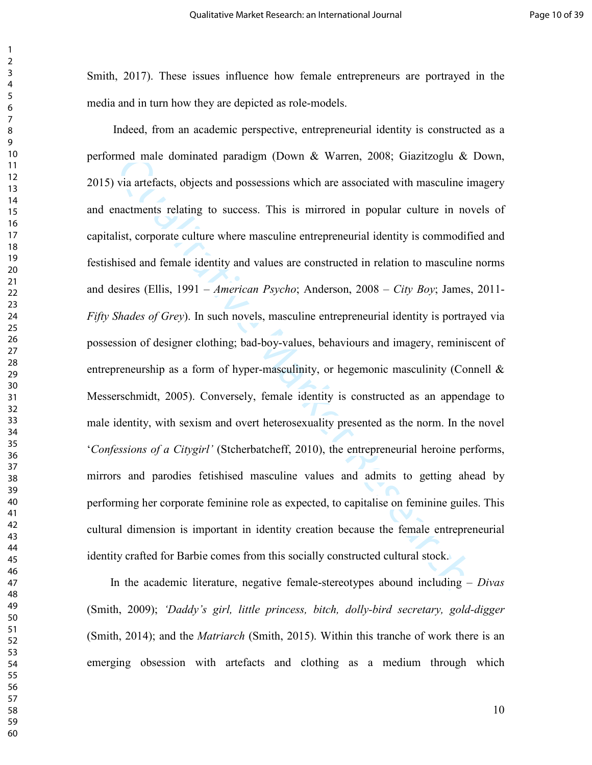Smith, 2017). These issues influence how female entrepreneurs are portrayed in the media and in turn how they are depicted as role-models.

med male dominated paradigm (Down & Warren, 2008; Giazitzoglu & I<br>via artefacts, objects and possessions which are associated with masculine in<br>mactiments relating to success. This is mirrored in popular culture in nov<br>li Indeed, from an academic perspective, entrepreneurial identity is constructed as a performed male dominated paradigm (Down & Warren, 2008; Giazitzoglu & Down, 2015) via artefacts, objects and possessions which are associated with masculine imagery and enactments relating to success. This is mirrored in popular culture in novels of capitalist, corporate culture where masculine entrepreneurial identity is commodified and festishised and female identity and values are constructed in relation to masculine norms and desires (Ellis, 1991 – *American Psycho*; Anderson, 2008 – *City Boy*; James, 2011- *Fifty Shades of Grey*). In such novels, masculine entrepreneurial identity is portrayed via possession of designer clothing; bad-boy-values, behaviours and imagery, reminiscent of entrepreneurship as a form of hyper-masculinity, or hegemonic masculinity (Connell  $\&$ Messerschmidt, 2005). Conversely, female identity is constructed as an appendage to male identity, with sexism and overt heterosexuality presented as the norm. In the novel '*Confessions of a Citygirl'* (Stcherbatcheff, 2010), the entrepreneurial heroine performs, mirrors and parodies fetishised masculine values and admits to getting ahead by performing her corporate feminine role as expected, to capitalise on feminine guiles. This cultural dimension is important in identity creation because the female entrepreneurial identity crafted for Barbie comes from this socially constructed cultural stock.

 In the academic literature, negative female-stereotypes abound including *– Divas*  (Smith, 2009); *'Daddy's girl, little princess, bitch, dolly-bird secretary, gold-digger*  (Smith, 2014); and the *Matriarch* (Smith, 2015). Within this tranche of work there is an emerging obsession with artefacts and clothing as a medium through which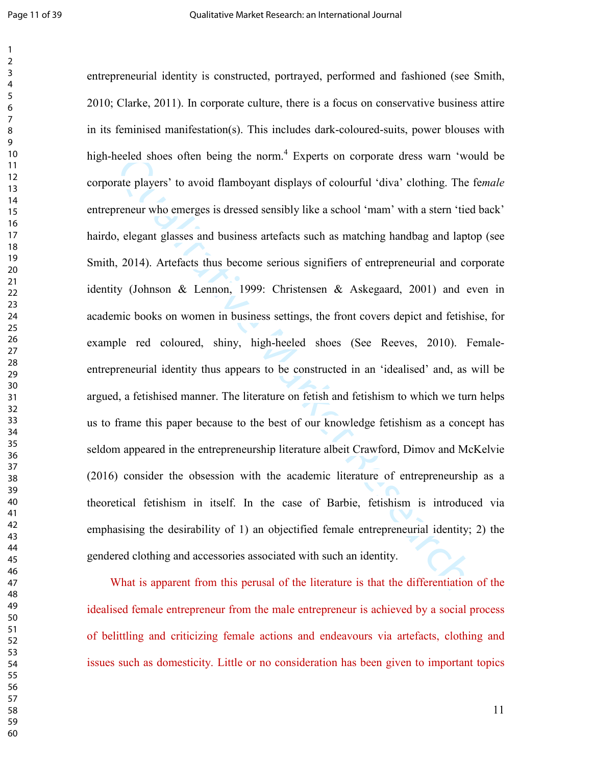hecked shoes often being the norm." Experts on corporate dress warn 'wor<br>atte players' to avoid flamboyant displays of colourful 'diva' clothing. The t<br>oreneur who emerges is dressed sensibly like a school 'mam' with a ste entrepreneurial identity is constructed, portrayed, performed and fashioned (see Smith, 2010; Clarke, 2011). In corporate culture, there is a focus on conservative business attire in its feminised manifestation(s). This includes dark-coloured-suits, power blouses with high-heeled shoes often being the norm.<sup>4</sup> Experts on corporate dress warn 'would be corporate players' to avoid flamboyant displays of colourful 'diva' clothing. The fe*male* entrepreneur who emerges is dressed sensibly like a school 'mam' with a stern 'tied back' hairdo, elegant glasses and business artefacts such as matching handbag and laptop (see Smith, 2014). Artefacts thus become serious signifiers of entrepreneurial and corporate identity (Johnson & Lennon, 1999: Christensen & Askegaard, 2001) and even in academic books on women in business settings, the front covers depict and fetishise, for example red coloured, shiny, high-heeled shoes (See Reeves, 2010). Femaleentrepreneurial identity thus appears to be constructed in an 'idealised' and, as will be argued, a fetishised manner. The literature on fetish and fetishism to which we turn helps us to frame this paper because to the best of our knowledge fetishism as a concept has seldom appeared in the entrepreneurship literature albeit Crawford, Dimov and McKelvie (2016) consider the obsession with the academic literature of entrepreneurship as a theoretical fetishism in itself. In the case of Barbie, fetishism is introduced via emphasising the desirability of 1) an objectified female entrepreneurial identity; 2) the gendered clothing and accessories associated with such an identity.

 What is apparent from this perusal of the literature is that the differentiation of the idealised female entrepreneur from the male entrepreneur is achieved by a social process of belittling and criticizing female actions and endeavours via artefacts, clothing and issues such as domesticity. Little or no consideration has been given to important topics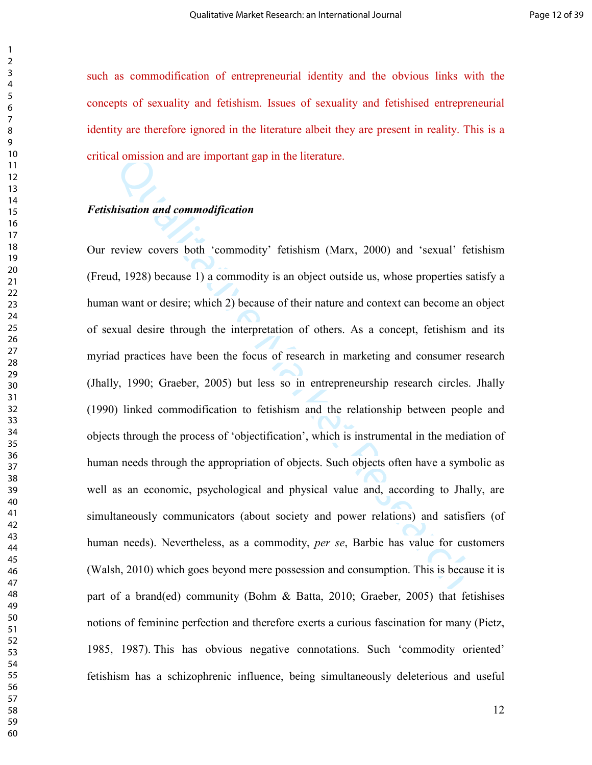such as commodification of entrepreneurial identity and the obvious links with the concepts of sexuality and fetishism. Issues of sexuality and fetishised entrepreneurial identity are therefore ignored in the literature albeit they are present in reality. This is a critical omission and are important gap in the literature.

#### *Fetishisation and commodification*

al omission and are important gap in the literature.<br>
Ristation and commodification<br>
review covers both 'commodity' fetishism (Marx, 2000) and 'sexual' fet<br>
d, 1928) because 1) a commodity is an object outside us, whose pr Our review covers both 'commodity' fetishism (Marx, 2000) and 'sexual' fetishism (Freud, 1928) because 1) a commodity is an object outside us, whose properties satisfy a human want or desire; which 2) because of their nature and context can become an object of sexual desire through the interpretation of others. As a concept, fetishism and its myriad practices have been the focus of research in marketing and consumer research (Jhally, 1990; Graeber, 2005) but less so in entrepreneurship research circles. Jhally (1990) linked commodification to fetishism and the relationship between people and objects through the process of 'objectification', which is instrumental in the mediation of human needs through the appropriation of objects. Such objects often have a symbolic as well as an economic, psychological and physical value and, according to Jhally, are simultaneously communicators (about society and power relations) and satisfiers (of human needs). Nevertheless, as a commodity, *per se*, Barbie has value for customers (Walsh, 2010) which goes beyond mere possession and consumption. This is because it is part of a brand(ed) community (Bohm & Batta, 2010; Graeber, 2005) that fetishises notions of feminine perfection and therefore exerts a curious fascination for many (Pietz, 1985, 1987). This has obvious negative connotations. Such 'commodity oriented' fetishism has a schizophrenic influence, being simultaneously deleterious and useful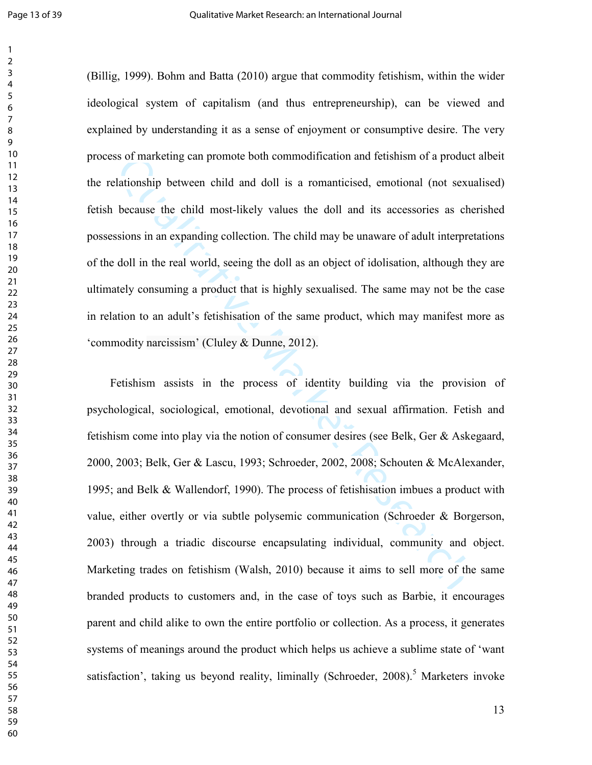(Billig, 1999). Bohm and Batta (2010) argue that commodity fetishism, within the wider ideological system of capitalism (and thus entrepreneurship), can be viewed and explained by understanding it as a sense of enjoyment or consumptive desire. The very process of marketing can promote both commodification and fetishism of a product albeit the relationship between child and doll is a romanticised, emotional (not sexualised) fetish because the child most-likely values the doll and its accessories as cherished possessions in an expanding collection. The child may be unaware of adult interpretations of the doll in the real world, seeing the doll as an object of idolisation, although they are ultimately consuming a product that is highly sexualised. The same may not be the case in relation to an adult's fetishisation of the same product, which may manifest more as 'commodity narcissism' (Cluley & Dunne, 2012).

ss of marketing can promote both commodification and fetishism of a product<br>alationship between child and doll is a romanticised, emotional (not sexus<br>because the child most-likely values the doll and its accessories as ch Fetishism assists in the process of identity building via the provision of psychological, sociological, emotional, devotional and sexual affirmation. Fetish and fetishism come into play via the notion of consumer desires (see Belk, Ger & Askegaard, 2000, 2003; Belk, Ger & Lascu, 1993; Schroeder, 2002, 2008; Schouten & McAlexander, 1995; and Belk & Wallendorf, 1990). The process of fetishisation imbues a product with value, either overtly or via subtle polysemic communication (Schroeder & Borgerson, 2003) through a triadic discourse encapsulating individual, community and object. Marketing trades on fetishism (Walsh, 2010) because it aims to sell more of the same branded products to customers and, in the case of toys such as Barbie, it encourages parent and child alike to own the entire portfolio or collection. As a process, it generates systems of meanings around the product which helps us achieve a sublime state of 'want satisfaction', taking us beyond reality, liminally (Schroeder, ).<sup>5</sup> Marketers invoke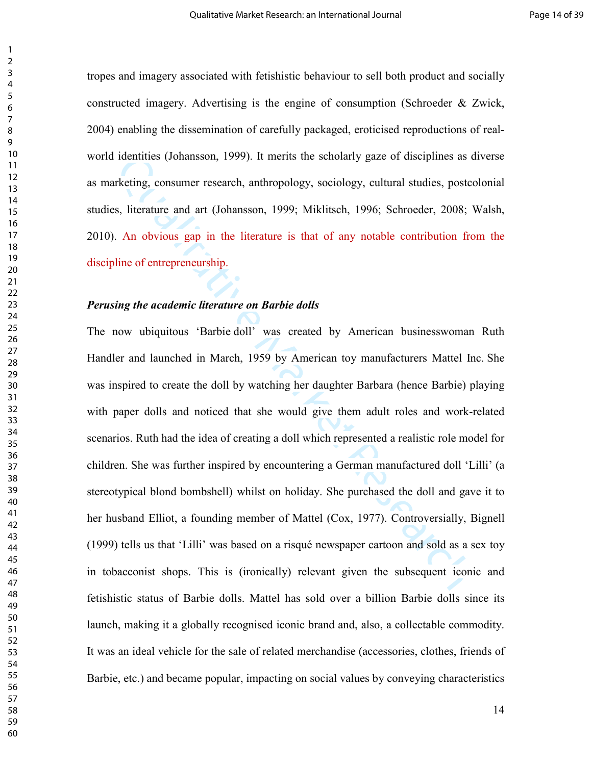tropes and imagery associated with fetishistic behaviour to sell both product and socially constructed imagery. Advertising is the engine of consumption (Schroeder & Zwick, 2004) enabling the dissemination of carefully packaged, eroticised reproductions of realworld identities (Johansson, 1999). It merits the scholarly gaze of disciplines as diverse as marketing, consumer research, anthropology, sociology, cultural studies, postcolonial studies, literature and art (Johansson, 1999; Miklitsch, 1996; Schroeder, 2008; Walsh, 2010). An obvious gap in the literature is that of any notable contribution from the discipline of entrepreneurship.

#### *Perusing the academic literature on Barbie dolls*

I dentities (Johansson, 1999). It merits the scholarly gaze of disciplines as dependent and ant (Johansson, 1999; Miklitsch, 1996; Schroeder, 2008; S., literature and art (Johansson, 1999; Miklitsch, 1996; Schroeder, 2008; The now ubiquitous 'Barbie doll' was created by American businesswoman Ruth Handler and launched in March, 1959 by American toy manufacturers Mattel Inc. She was inspired to create the doll by watching her daughter Barbara (hence Barbie) playing with paper dolls and noticed that she would give them adult roles and work-related scenarios. Ruth had the idea of creating a doll which represented a realistic role model for children. She was further inspired by encountering a German manufactured doll 'Lilli' (a stereotypical blond bombshell) whilst on holiday. She purchased the doll and gave it to her husband Elliot, a founding member of Mattel (Cox, 1977). Controversially, Bignell (1999) tells us that 'Lilli' was based on a risqué newspaper cartoon and sold as a sex toy in tobacconist shops. This is (ironically) relevant given the subsequent iconic and fetishistic status of Barbie dolls. Mattel has sold over a billion Barbie dolls since its launch, making it a globally recognised iconic brand and, also, a collectable commodity. It was an ideal vehicle for the sale of related merchandise (accessories, clothes, friends of Barbie, etc.) and became popular, impacting on social values by conveying characteristics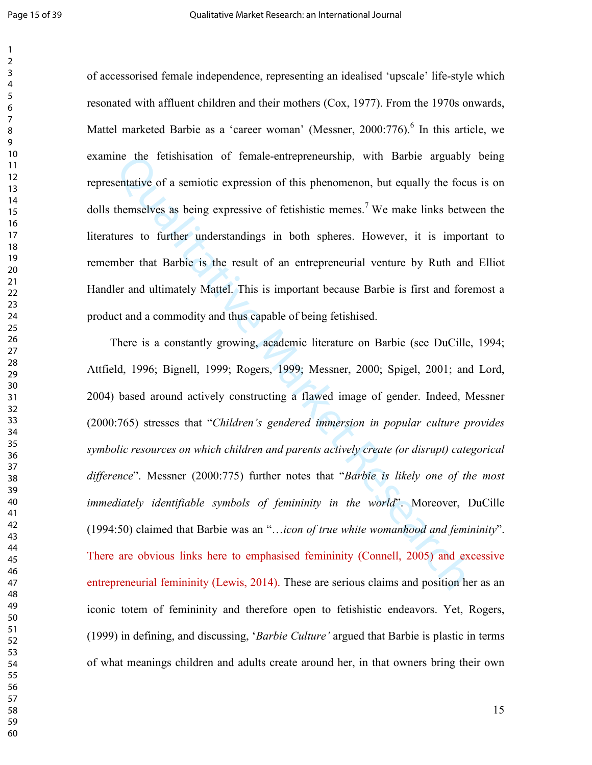of accessorised female independence, representing an idealised 'upscale' life-style which resonated with affluent children and their mothers (Cox, 1977). From the 1970s onwards, Mattel marketed Barbie as a 'career woman' (Messner, 2000:776).<sup>6</sup> In this article, we examine the fetishisation of female-entrepreneurship, with Barbie arguably being representative of a semiotic expression of this phenomenon, but equally the focus is on dolls themselves as being expressive of fetishistic memes.<sup>7</sup> We make links between the literatures to further understandings in both spheres. However, it is important to remember that Barbie is the result of an entrepreneurial venture by Ruth and Elliot Handler and ultimately Mattel. This is important because Barbie is first and foremost a product and a commodity and thus capable of being fetishised.

ince the fetishisation of female-entrepreneurship, with Barbie arguably<br>sentative of a semiotic expressive of this phenomenon, but equally the focus<br>themselves as being expressive of fetishistic memes.<sup>7</sup> We make links be There is a constantly growing, academic literature on Barbie (see DuCille, 1994; Attfield, 1996; Bignell, 1999; Rogers, 1999; Messner, 2000; Spigel, 2001; and Lord, 2004) based around actively constructing a flawed image of gender. Indeed, Messner (2000:765) stresses that "*Children's gendered immersion in popular culture provides symbolic resources on which children and parents actively create (or disrupt) categorical difference*". Messner (2000:775) further notes that "*Barbie is likely one of the most immediately identifiable symbols of femininity in the world*". Moreover, DuCille (1994:50) claimed that Barbie was an "…*icon of true white womanhood and femininity*". There are obvious links here to emphasised femininity (Connell, 2005) and excessive entrepreneurial femininity (Lewis, 2014). These are serious claims and position her as an iconic totem of femininity and therefore open to fetishistic endeavors. Yet, Rogers, (1999) in defining, and discussing, '*Barbie Culture'* argued that Barbie is plastic in terms of what meanings children and adults create around her, in that owners bring their own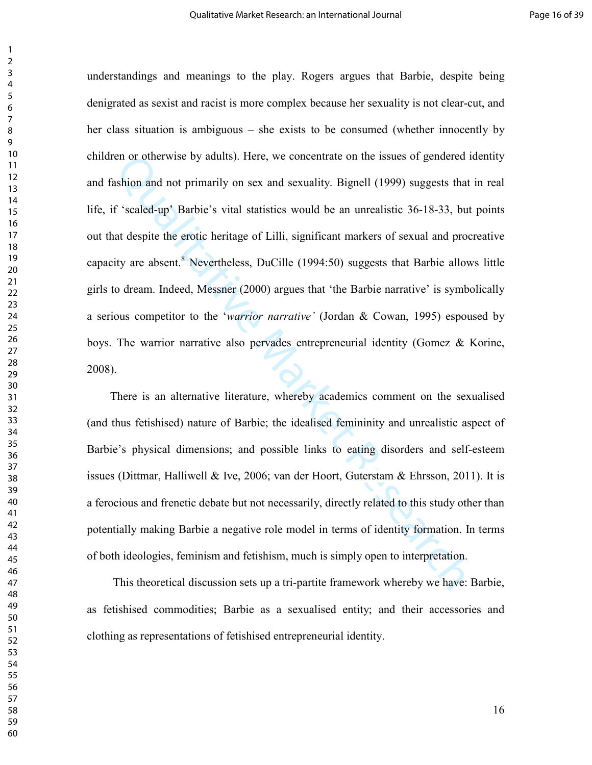con or otherwise by adults). Here, we concentrate on the issues of gendered idention and not primarily on sex and sexuality. Bignell (1999) suggests that f'scaled-up' Barbie's vital statistics would be an unrealistic 36-1 understandings and meanings to the play. Rogers argues that Barbie, despite being denigrated as sexist and racist is more complex because her sexuality is not clear-cut, and her class situation is ambiguous – she exists to be consumed (whether innocently by children or otherwise by adults). Here, we concentrate on the issues of gendered identity and fashion and not primarily on sex and sexuality. Bignell (1999) suggests that in real life, if 'scaled-up' Barbie's vital statistics would be an unrealistic 36-18-33, but points out that despite the erotic heritage of Lilli, significant markers of sexual and procreative capacity are absent.<sup>8</sup> Nevertheless, DuCille  $(1994:50)$  suggests that Barbie allows little girls to dream. Indeed, Messner (2000) argues that 'the Barbie narrative' is symbolically a serious competitor to the '*warrior narrative'* (Jordan & Cowan, 1995) espoused by boys. The warrior narrative also pervades entrepreneurial identity (Gomez & Korine, 2008).

 There is an alternative literature, whereby academics comment on the sexualised (and thus fetishised) nature of Barbie; the idealised femininity and unrealistic aspect of Barbie's physical dimensions; and possible links to eating disorders and self-esteem issues (Dittmar, Halliwell & Ive, 2006; van der Hoort, Guterstam & Ehrsson, 2011). It is a ferocious and frenetic debate but not necessarily, directly related to this study other than potentially making Barbie a negative role model in terms of identity formation. In terms of both ideologies, feminism and fetishism, much is simply open to interpretation.

 This theoretical discussion sets up a tri-partite framework whereby we have: Barbie, as fetishised commodities; Barbie as a sexualised entity; and their accessories and clothing as representations of fetishised entrepreneurial identity.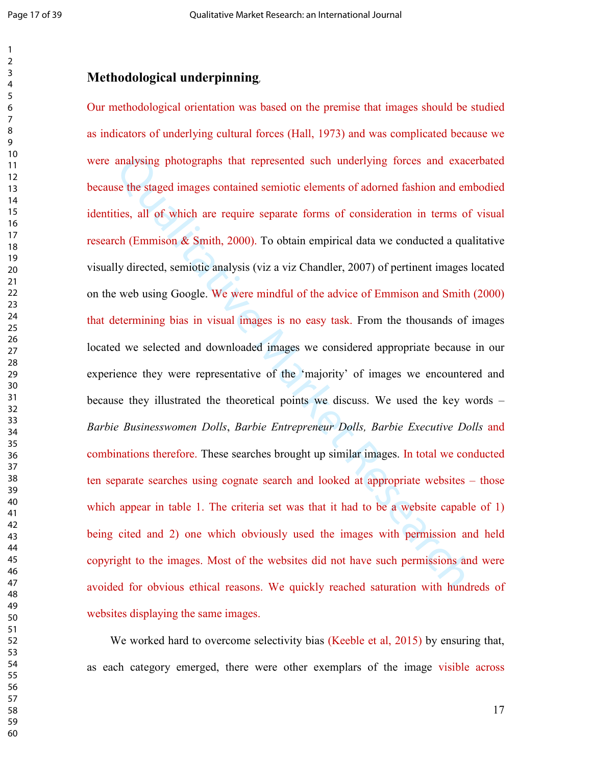## **Methodological underpinning**,

analysing photographs that represented such underlying forces and exace<br>se the staged images contained semiotic elements of adomed fashion and eml<br>ties, all of which are require separate forms of consideration in terms of<br> Our methodological orientation was based on the premise that images should be studied as indicators of underlying cultural forces (Hall, 1973) and was complicated because we were analysing photographs that represented such underlying forces and exacerbated because the staged images contained semiotic elements of adorned fashion and embodied identities, all of which are require separate forms of consideration in terms of visual research (Emmison & Smith, 2000). To obtain empirical data we conducted a qualitative visually directed, semiotic analysis (viz a viz Chandler, 2007) of pertinent images located on the web using Google. We were mindful of the advice of Emmison and Smith (2000) that determining bias in visual images is no easy task. From the thousands of images located we selected and downloaded images we considered appropriate because in our experience they were representative of the 'majority' of images we encountered and because they illustrated the theoretical points we discuss. We used the key words – *Barbie Businesswomen Dolls*, *Barbie Entrepreneur Dolls, Barbie Executive Dolls* and combinations therefore. These searches brought up similar images. In total we conducted ten separate searches using cognate search and looked at appropriate websites – those which appear in table 1. The criteria set was that it had to be a website capable of 1) being cited and 2) one which obviously used the images with permission and held copyright to the images. Most of the websites did not have such permissions and were avoided for obvious ethical reasons. We quickly reached saturation with hundreds of websites displaying the same images.

We worked hard to overcome selectivity bias (Keeble et al, 2015) by ensuring that, as each category emerged, there were other exemplars of the image visible across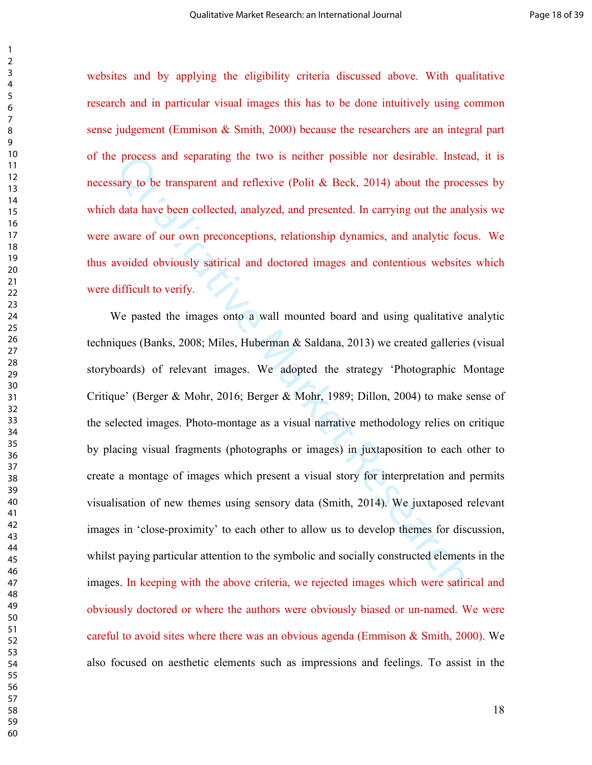websites and by applying the eligibility criteria discussed above. With qualitative research and in particular visual images this has to be done intuitively using common sense judgement (Emmison & Smith, 2000) because the researchers are an integral part of the process and separating the two is neither possible nor desirable. Instead, it is necessary to be transparent and reflexive (Polit & Beck, 2014) about the processes by which data have been collected, analyzed, and presented. In carrying out the analysis we were aware of our own preconceptions, relationship dynamics, and analytic focus. We thus avoided obviously satirical and doctored images and contentious websites which were difficult to verify.

process and separating the two is neither possible nor desirable. Instead<br>sary to be transparent and reflexive (Polit & Beck, 2014) about the process<br>adat have been collected, analyzed, and presented. In carrying out the a We pasted the images onto a wall mounted board and using qualitative analytic techniques (Banks, 2008; Miles, Huberman & Saldana, 2013) we created galleries (visual storyboards) of relevant images. We adopted the strategy 'Photographic Montage Critique' (Berger & Mohr, 2016; Berger & Mohr, 1989; Dillon, 2004) to make sense of the selected images. Photo-montage as a visual narrative methodology relies on critique by placing visual fragments (photographs or images) in juxtaposition to each other to create a montage of images which present a visual story for interpretation and permits visualisation of new themes using sensory data (Smith, 2014). We juxtaposed relevant images in 'close-proximity' to each other to allow us to develop themes for discussion, whilst paying particular attention to the symbolic and socially constructed elements in the images. In keeping with the above criteria, we rejected images which were satirical and obviously doctored or where the authors were obviously biased or un-named. We were careful to avoid sites where there was an obvious agenda (Emmison  $\&$  Smith, 2000). We also focused on aesthetic elements such as impressions and feelings. To assist in the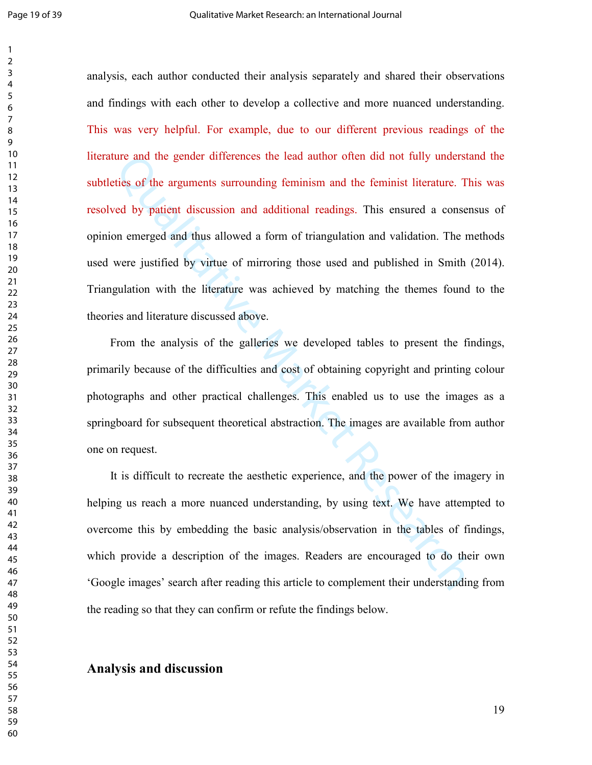and the gender differences the lead author often did not fully understaties of the arguments surrounding feminism and the feminist literature. The red by patient discussion and additional readings. This ensured a consentio analysis, each author conducted their analysis separately and shared their observations and findings with each other to develop a collective and more nuanced understanding. This was very helpful. For example, due to our different previous readings of the literature and the gender differences the lead author often did not fully understand the subtleties of the arguments surrounding feminism and the feminist literature. This was resolved by patient discussion and additional readings. This ensured a consensus of opinion emerged and thus allowed a form of triangulation and validation. The methods used were justified by virtue of mirroring those used and published in Smith (2014). Triangulation with the literature was achieved by matching the themes found to the theories and literature discussed above.

 From the analysis of the galleries we developed tables to present the findings, primarily because of the difficulties and cost of obtaining copyright and printing colour photographs and other practical challenges. This enabled us to use the images as a springboard for subsequent theoretical abstraction. The images are available from author one on request.

 It is difficult to recreate the aesthetic experience, and the power of the imagery in helping us reach a more nuanced understanding, by using text. We have attempted to overcome this by embedding the basic analysis/observation in the tables of findings, which provide a description of the images. Readers are encouraged to do their own 'Google images' search after reading this article to complement their understanding from the reading so that they can confirm or refute the findings below.

#### **Analysis and discussion**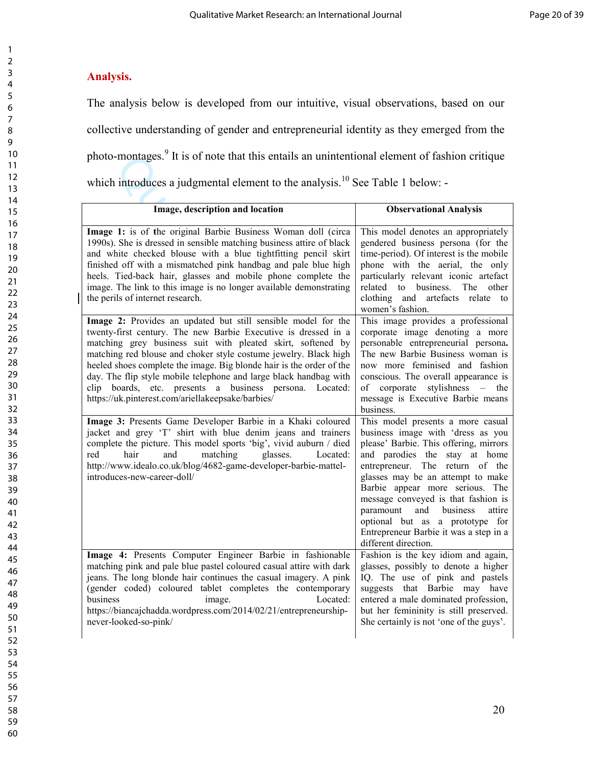## **Analysis.**

The analysis below is developed from our intuitive, visual observations, based on our collective understanding of gender and entrepreneurial identity as they emerged from the photo-montages.<sup>9</sup> It is of note that this entails an unintentional element of fashion critique which introduces a judgmental element to the analysis.<sup>10</sup> See Table 1 below: -

| photo-montages. It is of note that this entails an unintentional element of fashion critique                                                                                                                                                                                                                                                                                                                                                                                                                                    |                                                                                                                                                                                                                                                                                                                                                                                                                                                 |  |
|---------------------------------------------------------------------------------------------------------------------------------------------------------------------------------------------------------------------------------------------------------------------------------------------------------------------------------------------------------------------------------------------------------------------------------------------------------------------------------------------------------------------------------|-------------------------------------------------------------------------------------------------------------------------------------------------------------------------------------------------------------------------------------------------------------------------------------------------------------------------------------------------------------------------------------------------------------------------------------------------|--|
| which introduces a judgmental element to the analysis. <sup>10</sup> See Table 1 below: -                                                                                                                                                                                                                                                                                                                                                                                                                                       |                                                                                                                                                                                                                                                                                                                                                                                                                                                 |  |
| Image, description and location                                                                                                                                                                                                                                                                                                                                                                                                                                                                                                 | <b>Observational Analysis</b>                                                                                                                                                                                                                                                                                                                                                                                                                   |  |
| Image 1: is of the original Barbie Business Woman doll (circa<br>1990s). She is dressed in sensible matching business attire of black<br>and white checked blouse with a blue tightfitting pencil skirt<br>finished off with a mismatched pink handbag and pale blue high<br>heels. Tied-back hair, glasses and mobile phone complete the<br>image. The link to this image is no longer available demonstrating<br>the perils of internet research.                                                                             | This model denotes an appropriately<br>gendered business persona (for the<br>time-period). Of interest is the mobile<br>phone with the aerial, the only<br>particularly relevant iconic artefact<br>related to business. The other<br>clothing and artefacts relate to<br>women's fashion.                                                                                                                                                      |  |
| Image 2: Provides an updated but still sensible model for the<br>twenty-first century. The new Barbie Executive is dressed in a<br>matching grey business suit with pleated skirt, softened by<br>matching red blouse and choker style costume jewelry. Black high<br>heeled shoes complete the image. Big blonde hair is the order of the<br>day. The flip style mobile telephone and large black handbag with<br>clip boards, etc. presents a business persona. Located:<br>https://uk.pinterest.com/ariellakeepsake/barbies/ | This image provides a professional<br>corporate image denoting a more<br>personable entrepreneurial persona.<br>The new Barbie Business woman is<br>now more feminised and fashion<br>conscious. The overall appearance is<br>stylishness - the<br>of corporate<br>message is Executive Barbie means<br>business.                                                                                                                               |  |
| Image 3: Presents Game Developer Barbie in a Khaki coloured<br>jacket and grey 'T' shirt with blue denim jeans and trainers<br>complete the picture. This model sports 'big', vivid auburn / died<br>red<br>hair<br>and<br>matching<br>glasses.<br>Located:<br>http://www.idealo.co.uk/blog/4682-game-developer-barbie-mattel-<br>introduces-new-career-doll/                                                                                                                                                                   | This model presents a more casual<br>business image with 'dress as you<br>please' Barbie. This offering, mirrors<br>and parodies the stay at home<br>entrepreneur. The return of the<br>glasses may be an attempt to make<br>Barbie appear more serious. The<br>message conveyed is that fashion is<br>paramount<br>and business<br>attire<br>optional but as a prototype for<br>Entrepreneur Barbie it was a step in a<br>different direction. |  |
| Image 4: Presents Computer Engineer Barbie in fashionable<br>matching pink and pale blue pastel coloured casual attire with dark<br>jeans. The long blonde hair continues the casual imagery. A pink<br>(gender coded) coloured tablet completes the contemporary<br>business<br>Located:<br>image.<br>https://biancajchadda.wordpress.com/2014/02/21/entrepreneurship-<br>never-looked-so-pink/                                                                                                                                | Fashion is the key idiom and again,<br>glasses, possibly to denote a higher<br>IQ. The use of pink and pastels<br>suggests that Barbie may have<br>entered a male dominated profession,<br>but her femininity is still preserved.<br>She certainly is not 'one of the guys'.                                                                                                                                                                    |  |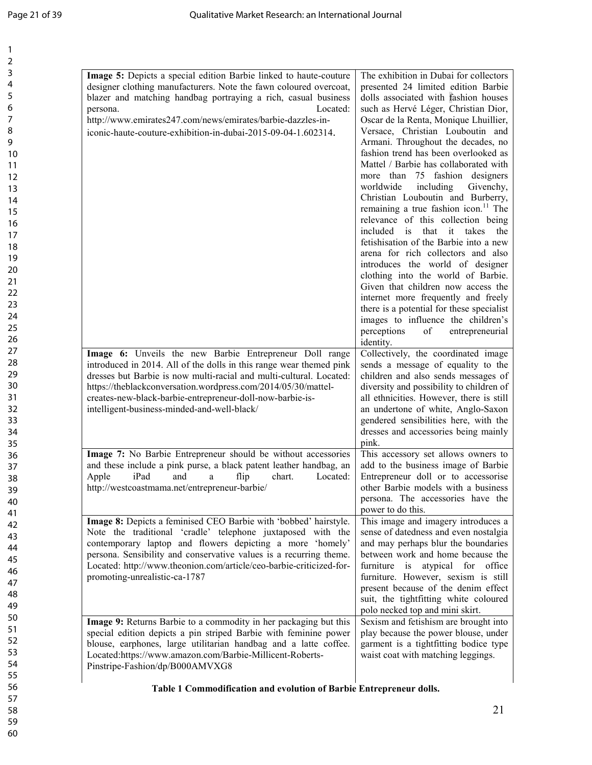| Image 5: Depicts a special edition Barbie linked to haute-couture                                                              | The exhibition in Dubai for collectors           |
|--------------------------------------------------------------------------------------------------------------------------------|--------------------------------------------------|
| designer clothing manufacturers. Note the fawn coloured overcoat,                                                              | presented 24 limited edition Barbie              |
| blazer and matching handbag portraying a rich, casual business                                                                 | dolls associated with fashion houses             |
| Located:<br>persona.                                                                                                           | such as Hervé Léger, Christian Dior,             |
| http://www.emirates247.com/news/emirates/barbie-dazzles-in-                                                                    | Oscar de la Renta, Monique Lhuillier,            |
| iconic-haute-couture-exhibition-in-dubai-2015-09-04-1.602314.                                                                  | Versace, Christian Louboutin and                 |
|                                                                                                                                | Armani. Throughout the decades, no               |
|                                                                                                                                | fashion trend has been overlooked as             |
|                                                                                                                                | Mattel / Barbie has collaborated with            |
|                                                                                                                                | more than 75 fashion designers                   |
|                                                                                                                                | worldwide<br>including<br>Givenchy,              |
|                                                                                                                                | Christian Louboutin and Burberry,                |
|                                                                                                                                | remaining a true fashion icon. <sup>11</sup> The |
|                                                                                                                                | relevance of this collection being               |
|                                                                                                                                | included is that it takes the                    |
|                                                                                                                                | fetishisation of the Barbie into a new           |
|                                                                                                                                | arena for rich collectors and also               |
|                                                                                                                                | introduces the world of designer                 |
|                                                                                                                                | clothing into the world of Barbie.               |
|                                                                                                                                | Given that children now access the               |
|                                                                                                                                | internet more frequently and freely              |
|                                                                                                                                | there is a potential for these specialist        |
|                                                                                                                                | images to influence the children's               |
|                                                                                                                                | perceptions<br>entrepreneurial<br>of             |
|                                                                                                                                | identity.<br>Collectively, the coordinated image |
| Image 6: Unveils the new Barbie Entrepreneur Doll range<br>introduced in 2014. All of the dolls in this range wear themed pink | sends a message of equality to the               |
| dresses but Barbie is now multi-racial and multi-cultural. Located:                                                            | children and also sends messages of              |
| https://theblackconversation.wordpress.com/2014/05/30/mattel-                                                                  | diversity and possibility to children of         |
| creates-new-black-barbie-entrepreneur-doll-now-barbie-is-                                                                      | all ethnicities. However, there is still         |
| intelligent-business-minded-and-well-black/                                                                                    | an undertone of white, Anglo-Saxon               |
|                                                                                                                                | gendered sensibilities here, with the            |
|                                                                                                                                | dresses and accessories being mainly             |
|                                                                                                                                | pink.                                            |
| Image 7: No Barbie Entrepreneur should be without accessories                                                                  | This accessory set allows owners to              |
| and these include a pink purse, a black patent leather handbag, an                                                             | add to the business image of Barbie              |
| Apple<br>iPad and a flip chart.<br>Located:                                                                                    | Entrepreneur doll or to accessorise              |
| http://westcoastmama.net/entrepreneur-barbie/                                                                                  | other Barbie models with a business              |
|                                                                                                                                | persona. The accessories have the                |
|                                                                                                                                | power to do this.                                |
| Image 8: Depicts a feminised CEO Barbie with 'bobbed' hairstyle.                                                               | This image and imagery introduces a              |
| Note the traditional 'cradle' telephone juxtaposed with the                                                                    | sense of datedness and even nostalgia            |
| contemporary laptop and flowers depicting a more 'homely'                                                                      | and may perhaps blur the boundaries              |
| persona. Sensibility and conservative values is a recurring theme.                                                             | between work and home because the                |
| Located: http://www.theonion.com/article/ceo-barbie-criticized-for-                                                            | furniture is atypical for office                 |
| promoting-unrealistic-ca-1787                                                                                                  | furniture. However, sexism is still              |
|                                                                                                                                | present because of the denim effect              |
|                                                                                                                                | suit, the tightfitting white coloured            |
|                                                                                                                                | polo necked top and mini skirt.                  |
| Image 9: Returns Barbie to a commodity in her packaging but this                                                               | Sexism and fetishism are brought into            |
| special edition depicts a pin striped Barbie with feminine power                                                               | play because the power blouse, under             |
| blouse, earphones, large utilitarian handbag and a latte coffee.                                                               | garment is a tightfitting bodice type            |
| Located:https://www.amazon.com/Barbie-Millicent-Roberts-                                                                       | waist coat with matching leggings.               |
| Pinstripe-Fashion/dp/B000AMVXG8                                                                                                |                                                  |
|                                                                                                                                |                                                  |
| Table 1 Commodification and evolution of Barbie Entrepreneur dolls.                                                            |                                                  |
|                                                                                                                                |                                                  |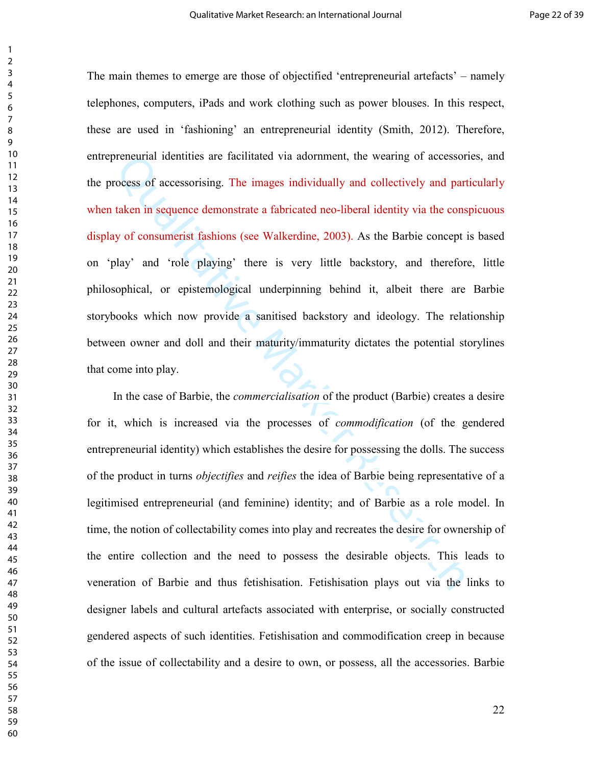proneurial identities are facilitated via adornment, the wearing of accessorie<br>rocess of accessorising. The images individually and collectively and partic<br>taken in sequence demonstrate a fabricated neo-liberal identity vi The main themes to emerge are those of objectified 'entrepreneurial artefacts' – namely telephones, computers, iPads and work clothing such as power blouses. In this respect, these are used in 'fashioning' an entrepreneurial identity (Smith, 2012). Therefore, entrepreneurial identities are facilitated via adornment, the wearing of accessories, and the process of accessorising. The images individually and collectively and particularly when taken in sequence demonstrate a fabricated neo-liberal identity via the conspicuous display of consumerist fashions (see Walkerdine, 2003). As the Barbie concept is based on 'play' and 'role playing' there is very little backstory, and therefore, little philosophical, or epistemological underpinning behind it, albeit there are Barbie storybooks which now provide a sanitised backstory and ideology. The relationship between owner and doll and their maturity/immaturity dictates the potential storylines that come into play.

 In the case of Barbie, the *commercialisation* of the product (Barbie) creates a desire for it, which is increased via the processes of *commodification* (of the gendered entrepreneurial identity) which establishes the desire for possessing the dolls. The success of the product in turns *objectifies* and *reifies* the idea of Barbie being representative of a legitimised entrepreneurial (and feminine) identity; and of Barbie as a role model. In time, the notion of collectability comes into play and recreates the desire for ownership of the entire collection and the need to possess the desirable objects. This leads to veneration of Barbie and thus fetishisation. Fetishisation plays out via the links to designer labels and cultural artefacts associated with enterprise, or socially constructed gendered aspects of such identities. Fetishisation and commodification creep in because of the issue of collectability and a desire to own, or possess, all the accessories. Barbie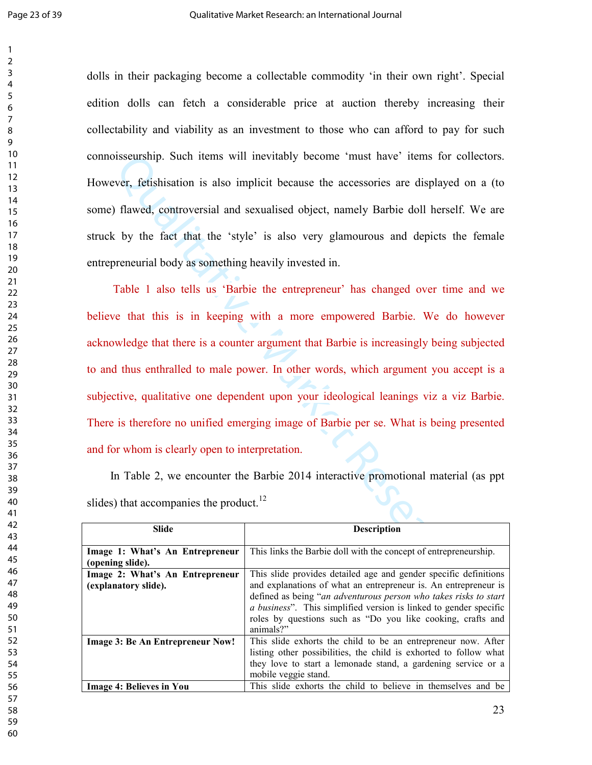dolls in their packaging become a collectable commodity 'in their own right'. Special edition dolls can fetch a considerable price at auction thereby increasing their collectability and viability as an investment to those who can afford to pay for such connoisseurship. Such items will inevitably become 'must have' items for collectors. However, fetishisation is also implicit because the accessories are displayed on a (to some) flawed, controversial and sexualised object, namely Barbie doll herself. We are struck by the fact that the 'style' is also very glamourous and depicts the female entrepreneurial body as something heavily invested in.

by the iterative means will increase the accessories are displayed on<br>the search of the search of the search of the search of the search of the search of the search of the search of<br>the search of the search of the search Table 1 also tells us 'Barbie the entrepreneur' has changed over time and we believe that this is in keeping with a more empowered Barbie. We do however acknowledge that there is a counter argument that Barbie is increasingly being subjected to and thus enthralled to male power. In other words, which argument you accept is a subjective, qualitative one dependent upon your ideological leanings viz a viz Barbie. There is therefore no unified emerging image of Barbie per se. What is being presented and for whom is clearly open to interpretation.

 In Table 2, we encounter the Barbie 2014 interactive promotional material (as ppt slides) that accompanies the product.<sup>12</sup>

| Slide                                                   | <b>Description</b>                                                                                                                                                                                                                                                                                                                                               |
|---------------------------------------------------------|------------------------------------------------------------------------------------------------------------------------------------------------------------------------------------------------------------------------------------------------------------------------------------------------------------------------------------------------------------------|
| Image 1: What's An Entrepreneur<br>(opening slide).     | This links the Barbie doll with the concept of entrepreneurship.                                                                                                                                                                                                                                                                                                 |
| Image 2: What's An Entrepreneur<br>(explanatory slide). | This slide provides detailed age and gender specific definitions<br>and explanations of what an entrepreneur is. An entrepreneur is<br>defined as being "an adventurous person who takes risks to start<br><i>a business</i> ". This simplified version is linked to gender specific<br>roles by questions such as "Do you like cooking, crafts and<br>animals?" |
| <b>Image 3: Be An Entrepreneur Now!</b>                 | This slide exhorts the child to be an entrepreneur now. After<br>listing other possibilities, the child is exhorted to follow what<br>they love to start a lemonade stand, a gardening service or a<br>mobile veggie stand.                                                                                                                                      |
| <b>Image 4: Believes in You</b>                         | This slide exhorts the child to believe in themselves and be                                                                                                                                                                                                                                                                                                     |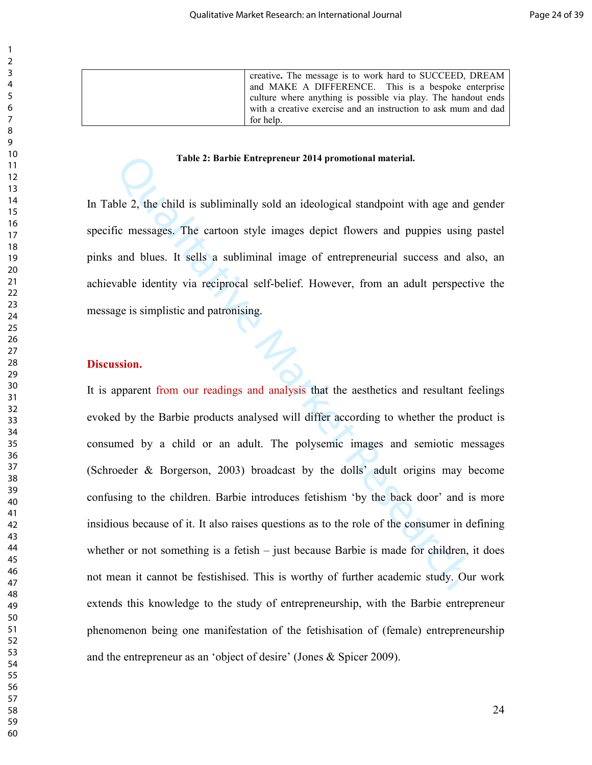creative**.** The message is to work hard to SUCCEED, DREAM and MAKE A DIFFERENCE. This is a bespoke enterprise culture where anything is possible via play. The handout ends with a creative exercise and an instruction to ask mum and dad for help.

#### **Table 2: Barbie Entrepreneur 2014 promotional material.**

In Table 2, the child is subliminally sold an ideological standpoint with age and gender specific messages. The cartoon style images depict flowers and puppies using pastel pinks and blues. It sells a subliminal image of entrepreneurial success and also, an achievable identity via reciprocal self-belief. However, from an adult perspective the message is simplistic and patronising.

#### **Discussion.**

Table 2: Barbie Entrepreneur 2014 promotional material.<br>
ble 2, the child is subliminally sold an ideological standpoint with age and g<br>
fic messages. The cartoon style images depict flowers and puppies using<br>
and blues. It is apparent from our readings and analysis that the aesthetics and resultant feelings evoked by the Barbie products analysed will differ according to whether the product is consumed by a child or an adult. The polysemic images and semiotic messages (Schroeder & Borgerson, 2003) broadcast by the dolls' adult origins may become confusing to the children. Barbie introduces fetishism 'by the back door' and is more insidious because of it. It also raises questions as to the role of the consumer in defining whether or not something is a fetish  $-$  just because Barbie is made for children, it does not mean it cannot be festishised. This is worthy of further academic study. Our work extends this knowledge to the study of entrepreneurship, with the Barbie entrepreneur phenomenon being one manifestation of the fetishisation of (female) entrepreneurship and the entrepreneur as an 'object of desire' (Jones & Spicer 2009).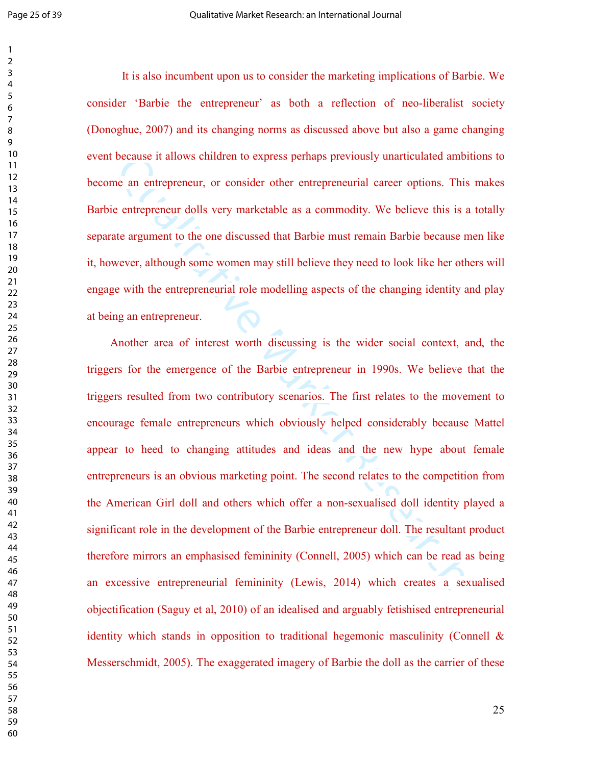It is also incumbent upon us to consider the marketing implications of Barbie. We consider 'Barbie the entrepreneur' as both a reflection of neo-liberalist society (Donoghue, 2007) and its changing norms as discussed above but also a game changing event because it allows children to express perhaps previously unarticulated ambitions to become an entrepreneur, or consider other entrepreneurial career options. This makes Barbie entrepreneur dolls very marketable as a commodity. We believe this is a totally separate argument to the one discussed that Barbie must remain Barbie because men like it, however, although some women may still believe they need to look like her others will engage with the entrepreneurial role modelling aspects of the changing identity and play at being an entrepreneur.

because it allows children to express perhaps previously unarticulated ambit<br>the an entrepreneur, or consider other entrepreneurial career options. This<br>e entrepreneur dolls very marketable as a commodity. We believe this Another area of interest worth discussing is the wider social context, and, the triggers for the emergence of the Barbie entrepreneur in 1990s. We believe that the triggers resulted from two contributory scenarios. The first relates to the movement to encourage female entrepreneurs which obviously helped considerably because Mattel appear to heed to changing attitudes and ideas and the new hype about female entrepreneurs is an obvious marketing point. The second relates to the competition from the American Girl doll and others which offer a non-sexualised doll identity played a significant role in the development of the Barbie entrepreneur doll. The resultant product therefore mirrors an emphasised femininity (Connell, 2005) which can be read as being an excessive entrepreneurial femininity (Lewis, 2014) which creates a sexualised objectification (Saguy et al, 2010) of an idealised and arguably fetishised entrepreneurial identity which stands in opposition to traditional hegemonic masculinity (Connell & Messerschmidt, 2005). The exaggerated imagery of Barbie the doll as the carrier of these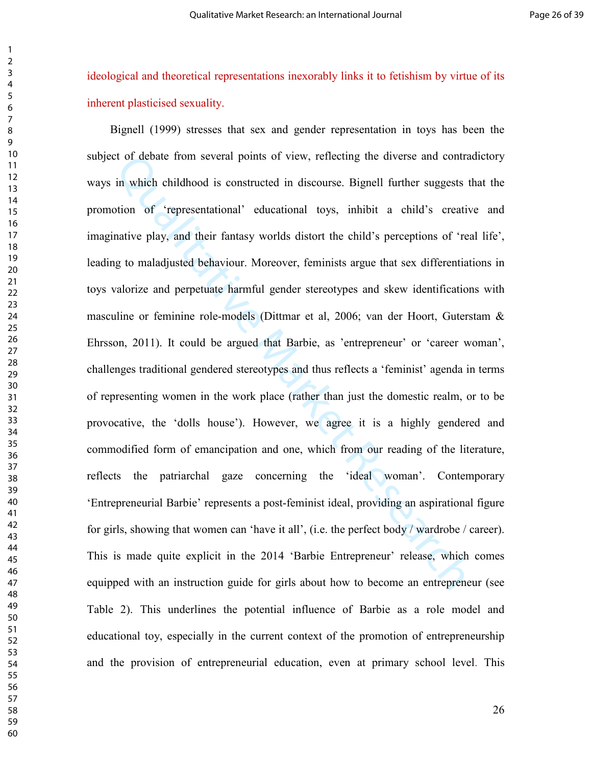ideological and theoretical representations inexorably links it to fetishism by virtue of its inherent plasticised sexuality.

is of debate from several points of view, reflecting the diverse and contraction in which childhood is constructed in discourse. Bignell further suggests the chind of "representational" educational toys, inhibit a child's Bignell (1999) stresses that sex and gender representation in toys has been the subject of debate from several points of view, reflecting the diverse and contradictory ways in which childhood is constructed in discourse. Bignell further suggests that the promotion of 'representational' educational toys, inhibit a child's creative and imaginative play, and their fantasy worlds distort the child's perceptions of 'real life', leading to maladjusted behaviour. Moreover, feminists argue that sex differentiations in toys valorize and perpetuate harmful gender stereotypes and skew identifications with masculine or feminine role-models (Dittmar et al, 2006; van der Hoort, Guterstam & Ehrsson, 2011). It could be argued that Barbie, as 'entrepreneur' or 'career woman', challenges traditional gendered stereotypes and thus reflects a 'feminist' agenda in terms of representing women in the work place (rather than just the domestic realm, or to be provocative, the 'dolls house'). However, we agree it is a highly gendered and commodified form of emancipation and one, which from our reading of the literature, reflects the patriarchal gaze concerning the 'ideal woman'. Contemporary 'Entrepreneurial Barbie' represents a post-feminist ideal, providing an aspirational figure for girls, showing that women can 'have it all', (i.e. the perfect body / wardrobe / career). This is made quite explicit in the 2014 'Barbie Entrepreneur' release, which comes equipped with an instruction guide for girls about how to become an entrepreneur (see Table 2). This underlines the potential influence of Barbie as a role model and educational toy, especially in the current context of the promotion of entrepreneurship and the provision of entrepreneurial education, even at primary school level. This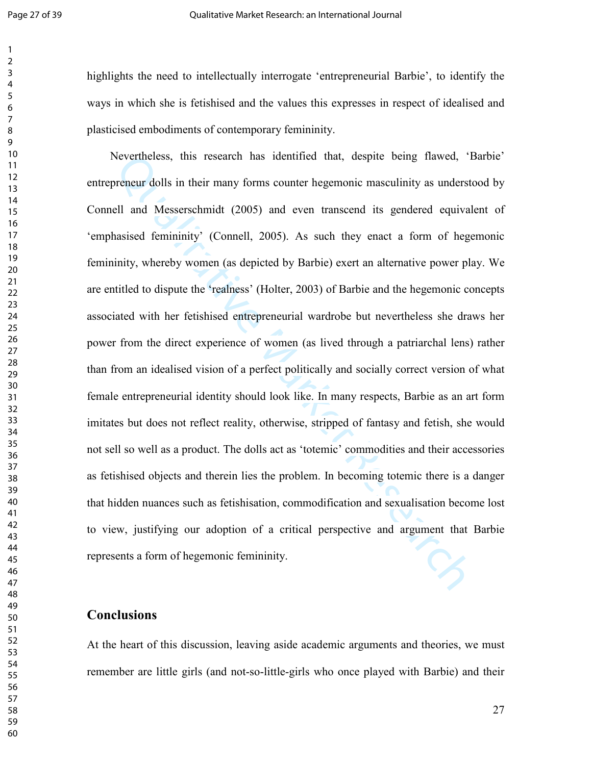highlights the need to intellectually interrogate 'entrepreneurial Barbie', to identify the ways in which she is fetishised and the values this expresses in respect of idealised and plasticised embodiments of contemporary femininity.

Nevertheless, this research has identified that, despite being flawed, "Hiveneur dolls in their many forms counter hegemonic masculinity as understell and Messerschmidt (2005) and even transcend its gendered equivalentials Nevertheless, this research has identified that, despite being flawed, 'Barbie' entrepreneur dolls in their many forms counter hegemonic masculinity as understood by Connell and Messerschmidt (2005) and even transcend its gendered equivalent of 'emphasised femininity' (Connell, 2005). As such they enact a form of hegemonic femininity, whereby women (as depicted by Barbie) exert an alternative power play. We are entitled to dispute the 'realness' (Holter, 2003) of Barbie and the hegemonic concepts associated with her fetishised entrepreneurial wardrobe but nevertheless she draws her power from the direct experience of women (as lived through a patriarchal lens) rather than from an idealised vision of a perfect politically and socially correct version of what female entrepreneurial identity should look like. In many respects, Barbie as an art form imitates but does not reflect reality, otherwise, stripped of fantasy and fetish, she would not sell so well as a product. The dolls act as 'totemic' commodities and their accessories as fetishised objects and therein lies the problem. In becoming totemic there is a danger that hidden nuances such as fetishisation, commodification and sexualisation become lost to view, justifying our adoption of a critical perspective and argument that Barbie represents a form of hegemonic femininity.

### **Conclusions**

At the heart of this discussion, leaving aside academic arguments and theories, we must remember are little girls (and not-so-little-girls who once played with Barbie) and their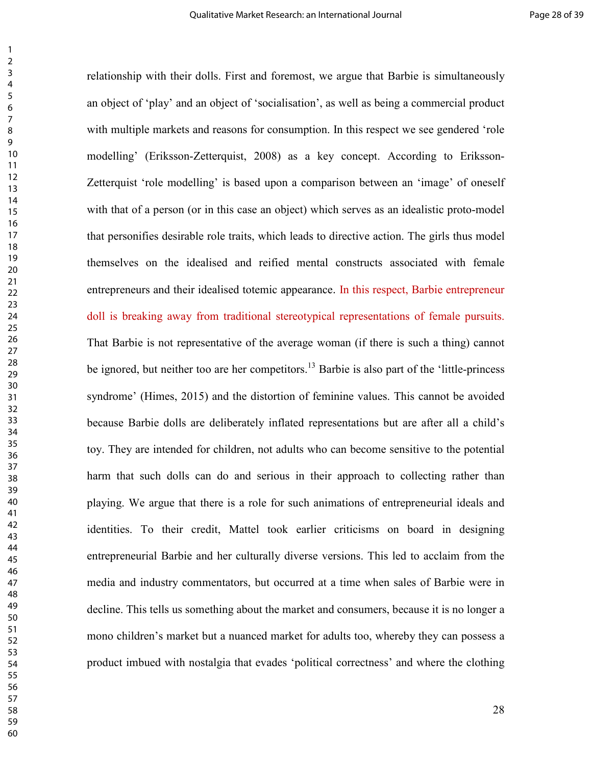Iling' (Eriksson-Zetterquist, 2008) as a key concept. According to Eriquist 'role modelling' is based upon a comparison between an 'image' of c<br>quist 'role modelling' is based upon a comparison between an 'image' of c<br>that relationship with their dolls. First and foremost, we argue that Barbie is simultaneously an object of 'play' and an object of 'socialisation', as well as being a commercial product with multiple markets and reasons for consumption. In this respect we see gendered 'role modelling' (Eriksson-Zetterquist, 2008) as a key concept. According to Eriksson-Zetterquist 'role modelling' is based upon a comparison between an 'image' of oneself with that of a person (or in this case an object) which serves as an idealistic proto-model that personifies desirable role traits, which leads to directive action. The girls thus model themselves on the idealised and reified mental constructs associated with female entrepreneurs and their idealised totemic appearance. In this respect, Barbie entrepreneur doll is breaking away from traditional stereotypical representations of female pursuits. That Barbie is not representative of the average woman (if there is such a thing) cannot be ignored, but neither too are her competitors.<sup>13</sup> Barbie is also part of the 'little-princess' syndrome' (Himes, 2015) and the distortion of feminine values. This cannot be avoided because Barbie dolls are deliberately inflated representations but are after all a child's toy. They are intended for children, not adults who can become sensitive to the potential harm that such dolls can do and serious in their approach to collecting rather than playing. We argue that there is a role for such animations of entrepreneurial ideals and identities. To their credit, Mattel took earlier criticisms on board in designing entrepreneurial Barbie and her culturally diverse versions. This led to acclaim from the media and industry commentators, but occurred at a time when sales of Barbie were in decline. This tells us something about the market and consumers, because it is no longer a mono children's market but a nuanced market for adults too, whereby they can possess a product imbued with nostalgia that evades 'political correctness' and where the clothing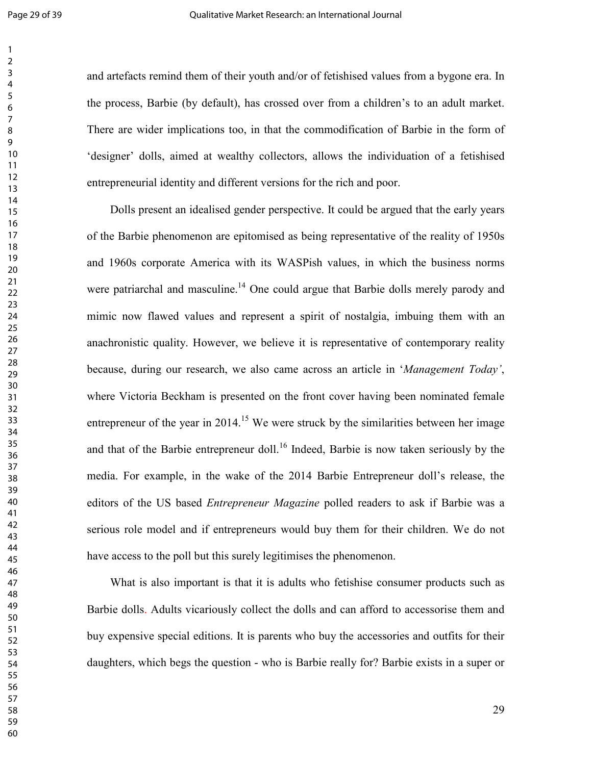and artefacts remind them of their youth and/or of fetishised values from a bygone era. In the process, Barbie (by default), has crossed over from a children's to an adult market. There are wider implications too, in that the commodification of Barbie in the form of 'designer' dolls, aimed at wealthy collectors, allows the individuation of a fetishised entrepreneurial identity and different versions for the rich and poor.

gner' dolls, aimed at wealthy collectors, allows the individuation of a feti-<br>preneurial identity and different versions for the rich and poor.<br>
Dolls present an idealised gender perspective. It could be argued that the ea Dolls present an idealised gender perspective. It could be argued that the early years of the Barbie phenomenon are epitomised as being representative of the reality of 1950s and 1960s corporate America with its WASPish values, in which the business norms were patriarchal and masculine.<sup>14</sup> One could argue that Barbie dolls merely parody and mimic now flawed values and represent a spirit of nostalgia, imbuing them with an anachronistic quality. However, we believe it is representative of contemporary reality because, during our research, we also came across an article in '*Management Today'*, where Victoria Beckham is presented on the front cover having been nominated female entrepreneur of the year in <sup>15</sup> We were struck by the similarities between her image and that of the Barbie entrepreneur doll.<sup>16</sup> Indeed, Barbie is now taken seriously by the media. For example, in the wake of the 2014 Barbie Entrepreneur doll's release, the editors of the US based *Entrepreneur Magazine* polled readers to ask if Barbie was a serious role model and if entrepreneurs would buy them for their children. We do not have access to the poll but this surely legitimises the phenomenon.

 What is also important is that it is adults who fetishise consumer products such as Barbie dolls. Adults vicariously collect the dolls and can afford to accessorise them and buy expensive special editions. It is parents who buy the accessories and outfits for their daughters, which begs the question - who is Barbie really for? Barbie exists in a super or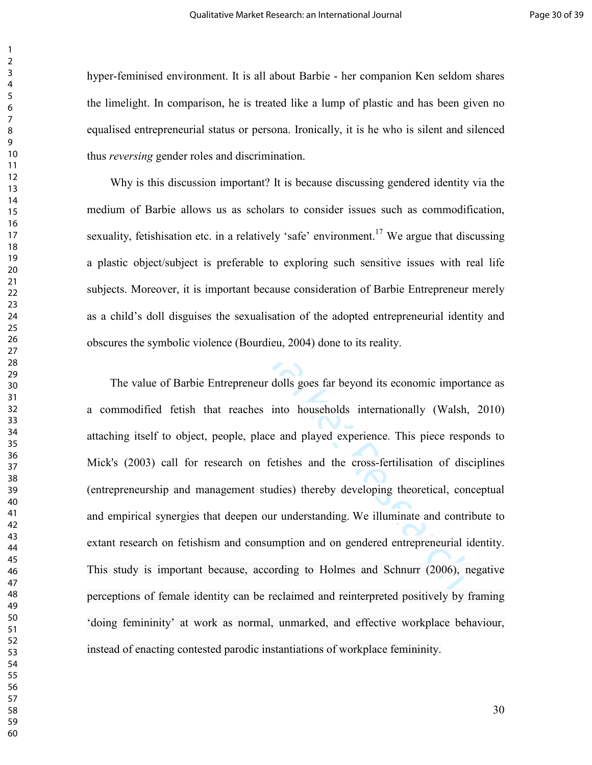hyper-feminised environment. It is all about Barbie - her companion Ken seldom shares the limelight. In comparison, he is treated like a lump of plastic and has been given no equalised entrepreneurial status or persona. Ironically, it is he who is silent and silenced thus *reversing* gender roles and discrimination.

 Why is this discussion important? It is because discussing gendered identity via the medium of Barbie allows us as scholars to consider issues such as commodification, sexuality, fetishisation etc. in a relatively 'safe' environment.<sup>17</sup> We argue that discussing a plastic object/subject is preferable to exploring such sensitive issues with real life subjects. Moreover, it is important because consideration of Barbie Entrepreneur merely as a child's doll disguises the sexualisation of the adopted entrepreneurial identity and obscures the symbolic violence (Bourdieu, 2004) done to its reality.

reversing gender roles and discrimination.<br>Mhy is this discussion important? It is because discussing gendered identity im of Barbie allows us as scholars to consider issues such as commodificity, fetishisation etc. in a r The value of Barbie Entrepreneur dolls goes far beyond its economic importance as a commodified fetish that reaches into households internationally (Walsh, 2010) attaching itself to object, people, place and played experience. This piece responds to Mick's (2003) call for research on fetishes and the cross-fertilisation of disciplines (entrepreneurship and management studies) thereby developing theoretical, conceptual and empirical synergies that deepen our understanding. We illuminate and contribute to extant research on fetishism and consumption and on gendered entrepreneurial identity. This study is important because, according to Holmes and Schnurr (2006), negative perceptions of female identity can be reclaimed and reinterpreted positively by framing 'doing femininity' at work as normal, unmarked, and effective workplace behaviour, instead of enacting contested parodic instantiations of workplace femininity.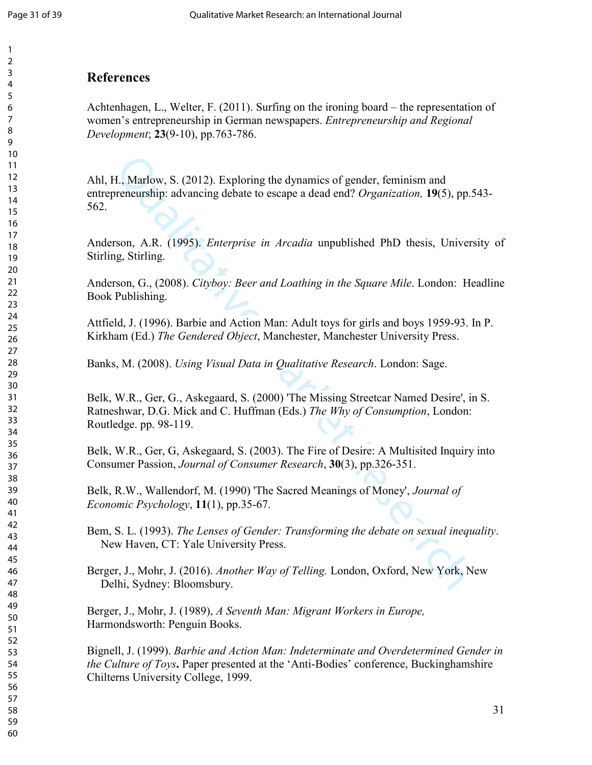## **References**

Achtenhagen, L., Welter, F. (2011). Surfing on the ironing board – the representation of women's entrepreneurship in German newspapers. *Entrepreneurship and Regional Development*; **23**(9-10), pp.763-786.

H., Marlow, S. (2012). Exploring the dynamics of gender, feminism and<br>reneurship: advancing debate to escape a dead end? *Organization*, **19**(5), pp.5<br>reson, A.R. (1995). *Enterprise in Arcadia* unpublished PhD thesis, Uni Ahl, H., Marlow, S. (2012). Exploring the dynamics of gender, feminism and entrepreneurship: advancing debate to escape a dead end? *Organization,* **19**(5), pp.543- 562.

Anderson, A.R. (1995). *Enterprise in Arcadia* unpublished PhD thesis, University of Stirling, Stirling.

Anderson, G., (2008). *Cityboy: Beer and Loathing in the Square Mile*. London: Headline Book Publishing.

Attfield, J. (1996). Barbie and Action Man: Adult toys for girls and boys 1959-93. In P. Kirkham (Ed.) *The Gendered Object*, Manchester, Manchester University Press.

Banks, M. (2008). *Using Visual Data in Qualitative Research*. London: Sage.

Belk, W.R., Ger, G., Askegaard, S. (2000) 'The Missing Streetcar Named Desire', in S. Ratneshwar, D.G. Mick and C. Huffman (Eds.) *The Why of Consumption*, London: Routledge. pp. 98-119.

Belk, W.R., Ger, G, Askegaard, S. (2003). The Fire of Desire: A Multisited Inquiry into Consumer Passion, *Journal of Consumer Research*, **30**(3), pp.326-351.

Belk, R.W., Wallendorf, M. (1990) 'The Sacred Meanings of Money', *Journal of Economic Psychology*, **11**(1), pp.35-67.

Bem, S. L. (1993). *The Lenses of Gender: Transforming the debate on sexual inequality*. New Haven, CT: Yale University Press.

Berger, J., Mohr, J. (2016). *Another Way of Telling.* London, Oxford, New York, New Delhi, Sydney: Bloomsbury.

Berger, J., Mohr, J. (1989), *A Seventh Man: Migrant Workers in Europe,*  Harmondsworth: Penguin Books.

Bignell, J. (1999). *Barbie and Action Man: Indeterminate and Overdetermined Gender in the Culture of Toys***.** Paper presented at the 'Anti-Bodies' conference, Buckinghamshire Chilterns University College, 1999.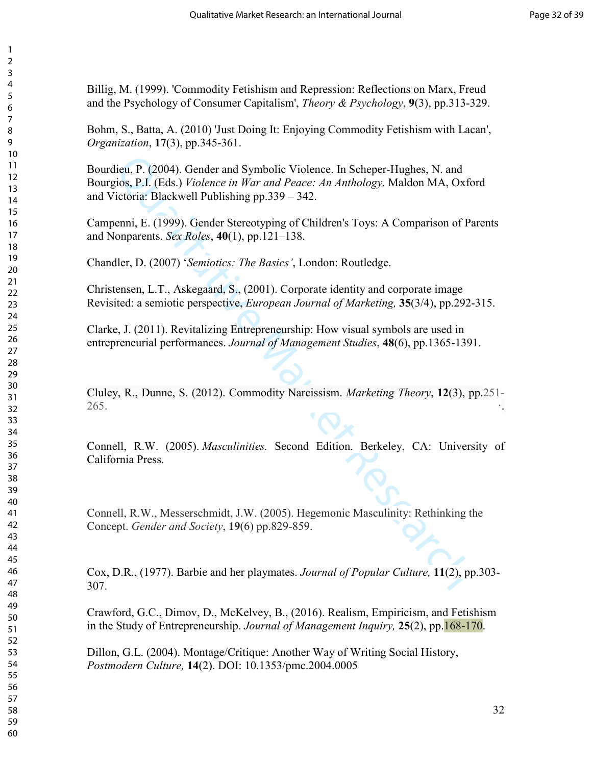Billig, M. (1999). 'Commodity Fetishism and Repression: Reflections on Marx, Freud and the Psychology of Consumer Capitalism', *Theory & Psychology*, **9**(3), pp.313-329.

Bohm, S., Batta, A. (2010) 'Just Doing It: Enjoying Commodity Fetishism with Lacan', *Organization*, **17**(3), pp.345-361.

dieu, P. (2004). Gender and Symbolic Violence. In Scheper-Hughes, N. and<br>gios, P.I. (Fds.) *Fiolence in War and Peace: An Anthology*. Maldon MA, Oxfo<br>fetoria: Blackwell Publishing pp.339 – 342.<br>emni, E. (1999). Gender Ster Bourdieu, P. (2004). Gender and Symbolic Violence. In Scheper-Hughes, N. and Bourgios, P.I. (Eds.) *Violence in War and Peace: An Anthology.* Maldon MA, Oxford and Victoria: Blackwell Publishing pp.339 – 342.

Campenni, E. (1999). Gender Stereotyping of Children's Toys: A Comparison of Parents and Nonparents. *Sex Roles*, **40**(1), pp.121–138.

Chandler, D. (2007) '*Semiotics: The Basics'*, London: Routledge.

Christensen, L.T., Askegaard, S., (2001). Corporate identity and corporate image Revisited: a semiotic perspective, *European Journal of Marketing,* **35**(3/4), pp.292-315.

Clarke, J. (2011). Revitalizing Entrepreneurship: How visual symbols are used in entrepreneurial performances. *Journal of Management Studies*, **48**(6), pp.1365-1391.

Cluley, R., Dunne, S. (2012). Commodity Narcissism. *Marketing Theory*, **12**(3), pp.251- . .

Connell, R.W. (2005). *Masculinities.* Second Edition. Berkeley, CA: University of California Press.

Connell, R.W., Messerschmidt, J.W. (2005). Hegemonic Masculinity: Rethinking the Concept. *Gender and Society*, **19**(6) pp.829-859.

Cox, D.R., (1977). Barbie and her playmates. *Journal of Popular Culture,* **11**(2), pp.303- 307.

Crawford, G.C., Dimov, D., McKelvey, B., (2016). Realism, Empiricism, and Fetishism in the Study of Entrepreneurship. *Journal of Management Inquiry,* **25**(2), pp.168-170.

Dillon, G.L. (2004). Montage/Critique: Another Way of Writing Social History, *Postmodern Culture,* **14**(2). DOI: 10.1353/pmc.2004.0005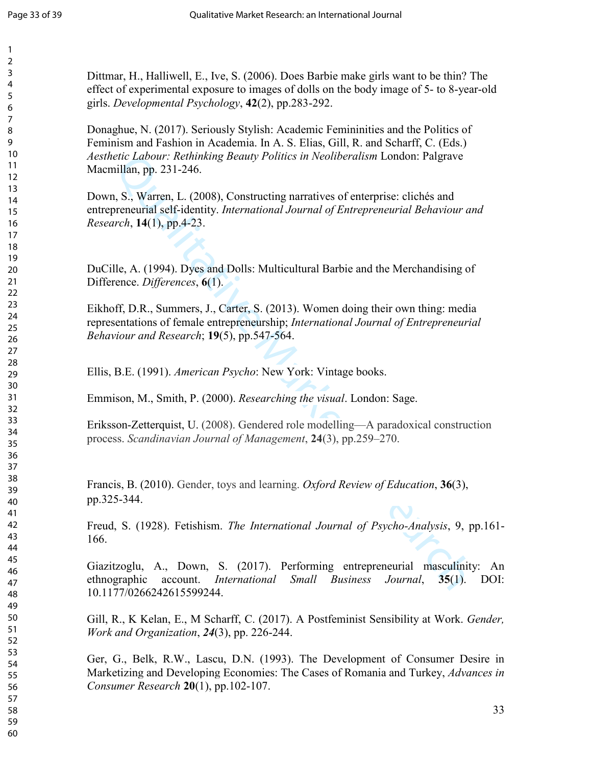Dittmar, H., Halliwell, E., Ive, S. (2006). Does Barbie make girls want to be thin? The effect of experimental exposure to images of dolls on the body image of 5- to 8-year-old girls. *Developmental Psychology*, **42**(2), pp.283-292.

Donaghue, N. (2017). Seriously Stylish: Academic Femininities and the Politics of Feminism and Fashion in Academia. In A. S. Elias, Gill, R. and Scharff, C. (Eds.) *Aesthetic Labour: Rethinking Beauty Politics in Neoliberalism* London: Palgrave Macmillan, pp. 231-246.

etic Labour: Rethinking Beauty Politics in Neoliberalism London: Palgrave<br>
illan, pp. 231-246.<br>
1, S., Warch, L. (2008), Constructing narratives of enterprise: clichés and<br>
sp. S., Warch, L. (2008), Constructing narrative Down, S., Warren, L. (2008), Constructing narratives of enterprise: clichés and entrepreneurial self-identity. *International Journal of Entrepreneurial Behaviour and Research*, **14**(1), pp.4-23.

DuCille, A. (1994). Dyes and Dolls: Multicultural Barbie and the Merchandising of Difference. *Differences*, **6**(1).

Eikhoff, D.R., Summers, J., Carter, S. (2013). Women doing their own thing: media representations of female entrepreneurship; *International Journal of Entrepreneurial Behaviour and Research*; **19**(5), pp.547-564.

Ellis, B.E. (1991). *American Psycho*: New York: Vintage books.

Emmison, M., Smith, P. (2000). *Researching the visual*. London: Sage.

Eriksson-Zetterquist, U. (2008). Gendered role modelling—A paradoxical construction process. *Scandinavian Journal of Management*, **24**(3), pp.259–270.

Francis, B. (2010). Gender, toys and learning. *Oxford Review of Education*, **36**(3), pp.325-344.

Freud, S. (1928). Fetishism. *The International Journal of Psycho-Analysis*, 9, pp.161- 166.

Giazitzoglu, A., Down, S. (2017). Performing entrepreneurial masculinity: An ethnographic account. *International Small Business Journal*, **35**(1). DOI: 10.1177/0266242615599244.

Gill, R., K Kelan, E., M Scharff, C. (2017). A Postfeminist Sensibility at Work. *Gender, Work and Organization*, *24*(3), pp. 226-244.

Ger, G., Belk, R.W., Lascu, D.N. (1993). The Development of Consumer Desire in Marketizing and Developing Economies: The Cases of Romania and Turkey, *Advances in Consumer Research* **20**(1), pp.102-107.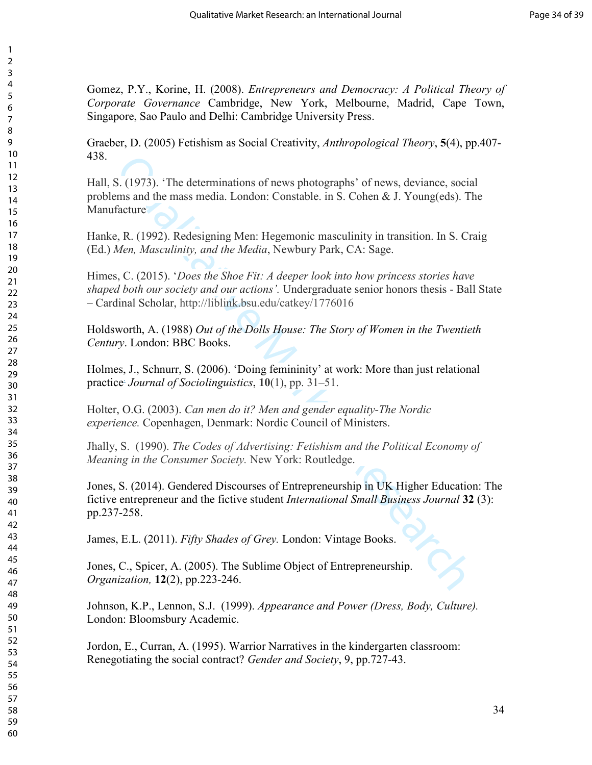Gomez, P.Y., Korine, H. (2008). *Entrepreneurs and Democracy: A Political Theory of Corporate Governance* Cambridge, New York, Melbourne, Madrid, Cape Town, Singapore, Sao Paulo and Delhi: Cambridge University Press.

Graeber, D. (2005) Fetishism as Social Creativity, *Anthropological Theory*, **5**(4), pp.407- 438.

Hall, S. (1973). 'The determinations of news photographs' of news, deviance, social problems and the mass media. London: Constable. in S. Cohen & J. Young(eds). The **Manufacture** 

Hanke, R. (1992). Redesigning Men: Hegemonic masculinity in transition. In S. Craig (Ed.) *Men, Masculinity, and the Media*, Newbury Park, CA: Sage.

Himes, C. (2015). '*Does the Shoe Fit: A deeper look into how princess stories have shaped both our society and our actions'.* Undergraduate senior honors thesis - Ball State – Cardinal Scholar, http://liblink.bsu.edu/catkey/1776016

Holdsworth, A. (1988) *Out of the Dolls House: The Story of Women in the Twentieth Century*. London: BBC Books.

Holmes, J., Schnurr, S. (2006). 'Doing femininity' at work: More than just relational practice. *Journal of Sociolinguistics*, **10**(1), pp. 31–51.

Holter, O.G. (2003). *Can men do it? Men and gender equality-The Nordic experience.* Copenhagen, Denmark: Nordic Council of Ministers.

Jhally, S. (1990). *The Codes of Advertising: Fetishism and the Political Economy of Meaning in the Consumer Society.* New York: Routledge.

S. (1973). "The determinations of news photographs' of news, deviance, social<br>cause and the mass modia. London: Constable. in S. Cohen & J. Young(cds). The<br>facture<br>e, R. (1992). Redesigning Men: Hegemonic masculinity in tr Jones, S. (2014). Gendered Discourses of Entrepreneurship in UK Higher Education: The fictive entrepreneur and the fictive student *International Small Business Journal* **32** (3): pp.237-258.

James, E.L. (2011). *Fifty Shades of Grey.* London: Vintage Books.

Jones, C., Spicer, A. (2005). The Sublime Object of Entrepreneurship. *Organization,* **12**(2), pp.223-246.

Johnson, K.P., Lennon, S.J. (1999). *Appearance and Power (Dress, Body, Culture).*  London: Bloomsbury Academic.

Jordon, E., Curran, A. (1995). Warrior Narratives in the kindergarten classroom: Renegotiating the social contract? *Gender and Society*, 9, pp.727-43.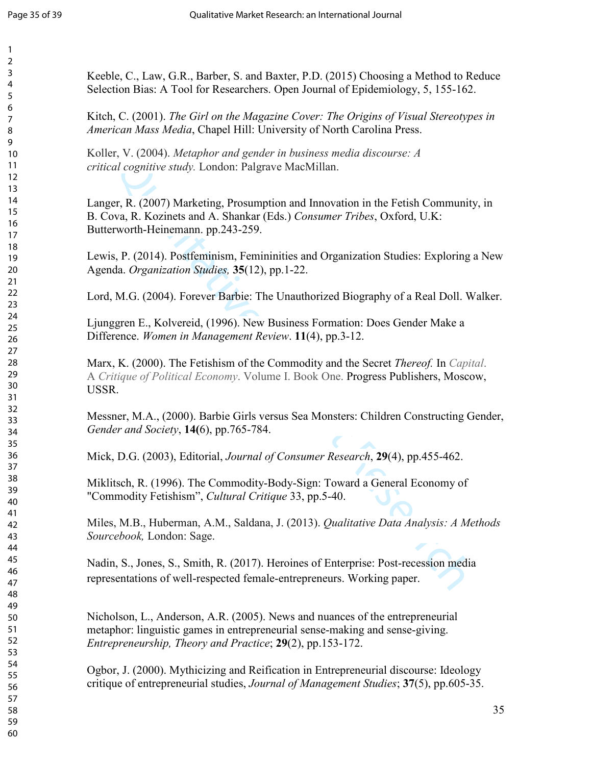| Keeble, C., Law, G.R., Barber, S. and Baxter, P.D. (2015) Choosing a Method to Reduce<br>Selection Bias: A Tool for Researchers. Open Journal of Epidemiology, 5, 155-162.                                                 |
|----------------------------------------------------------------------------------------------------------------------------------------------------------------------------------------------------------------------------|
| Kitch, C. (2001). The Girl on the Magazine Cover: The Origins of Visual Stereotypes in<br>American Mass Media, Chapel Hill: University of North Carolina Press.                                                            |
| Koller, V. (2004). Metaphor and gender in business media discourse: A<br>critical cognitive study. London: Palgrave MacMillan.                                                                                             |
| Langer, R. (2007) Marketing, Prosumption and Innovation in the Fetish Community, in<br>B. Cova, R. Kozinets and A. Shankar (Eds.) Consumer Tribes, Oxford, U.K:<br>Butterworth-Heinemann. pp.243-259.                      |
| Lewis, P. (2014). Postfeminism, Femininities and Organization Studies: Exploring a New<br>Agenda. Organization Studies, 35(12), pp.1-22.                                                                                   |
| Lord, M.G. (2004). Forever Barbie: The Unauthorized Biography of a Real Doll. Walker.                                                                                                                                      |
| Ljunggren E., Kolvereid, (1996). New Business Formation: Does Gender Make a<br>Difference. Women in Management Review. 11(4), pp.3-12.                                                                                     |
| Marx, K. (2000). The Fetishism of the Commodity and the Secret Thereof. In Capital.<br>A Critique of Political Economy. Volume I. Book One. Progress Publishers, Moscow,<br>USSR.                                          |
| Messner, M.A., (2000). Barbie Girls versus Sea Monsters: Children Constructing Gender,<br>Gender and Society, 14(6), pp.765-784.                                                                                           |
| Mick, D.G. (2003), Editorial, Journal of Consumer Research, 29(4), pp.455-462.                                                                                                                                             |
| Miklitsch, R. (1996). The Commodity-Body-Sign: Toward a General Economy of<br>"Commodity Fetishism", Cultural Critique 33, pp.5-40.                                                                                        |
| Miles, M.B., Huberman, A.M., Saldana, J. (2013). Qualitative Data Analysis: A Methods<br>Sourcebook, London: Sage.                                                                                                         |
| Nadin, S., Jones, S., Smith, R. (2017). Heroines of Enterprise: Post-recession media<br>representations of well-respected female-entrepreneurs. Working paper.                                                             |
| Nicholson, L., Anderson, A.R. (2005). News and nuances of the entrepreneurial<br>metaphor: linguistic games in entrepreneurial sense-making and sense-giving.<br>Entrepreneurship, Theory and Practice; 29(2), pp.153-172. |
| Ogbor, J. (2000). Mythicizing and Reification in Entrepreneurial discourse: Ideology<br>critique of entrepreneurial studies, Journal of Management Studies; 37(5), pp.605-35.                                              |
| 35                                                                                                                                                                                                                         |
|                                                                                                                                                                                                                            |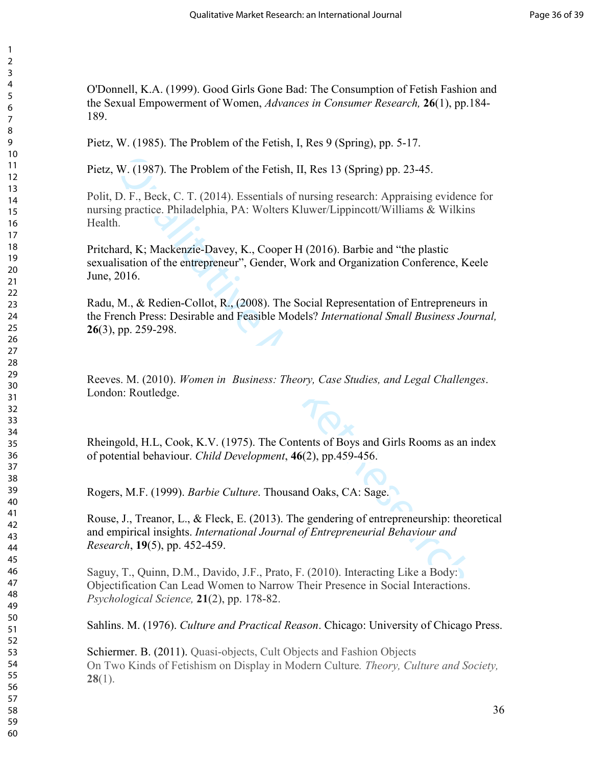O'Donnell, K.A. (1999). Good Girls Gone Bad: The Consumption of Fetish Fashion and the Sexual Empowerment of Women, *Advances in Consumer Research,* **26**(1), pp.184- 189.

Pietz, W. (1985). The Problem of the Fetish, I, Res 9 (Spring), pp. 5-17.

Pietz, W. (1987). The Problem of the Fetish, II, Res 13 (Spring) pp. 23-45.

W. (1987). The Problem of the Fetish, II, Res 13 (Spring) pp. 23-45.<br>
D. F., Beck, C. T. (2014). Essentials of nursing research: Appraising evidence<br>
gypractice. Philadelphia, PA: Wolters Kluwer/Lippincott/Williams & Wilki Polit, D. F., Beck, C. T. (2014). Essentials of nursing research: Appraising evidence for nursing practice. Philadelphia, PA: Wolters Kluwer/Lippincott/Williams & Wilkins Health.

Pritchard, K; Mackenzie-Davey, K., Cooper H (2016). Barbie and "the plastic sexualisation of the entrepreneur", Gender, Work and Organization Conference, Keele June, 2016.

Radu, M., & Redien-Collot, R., (2008). The Social Representation of Entrepreneurs in the French Press: Desirable and Feasible Models? *International Small Business Journal,* (3), pp. 259-298.

Reeves. M. (2010). *Women in Business: Theory, Case Studies, and Legal Challenges*. London: Routledge.

Rheingold, H.L, Cook, K.V. (1975). The Contents of Boys and Girls Rooms as an index of potential behaviour. *Child Development*, **46**(2), pp.459-456.

Rogers, M.F. (1999). *Barbie Culture*. Thousand Oaks, CA: Sage.

Rouse, J., Treanor, L., & Fleck, E. (2013). The gendering of entrepreneurship: theoretical and empirical insights. *International Journal of Entrepreneurial Behaviour and Research*, **19**(5), pp. 452-459.

Saguy, T., Quinn, D.M., Davido, J.F., Prato, F. (2010). Interacting Like a Body: Objectification Can Lead Women to Narrow Their Presence in Social Interactions. *Psychological Science,* **21**(2), pp. 178-82.

Sahlins. M. (1976). *Culture and Practical Reason*. Chicago: University of Chicago Press.

Schiermer. B. (2011). Quasi-objects, Cult Objects and Fashion Objects On Two Kinds of Fetishism on Display in Modern Culture*. Theory, Culture and Society,*  (1).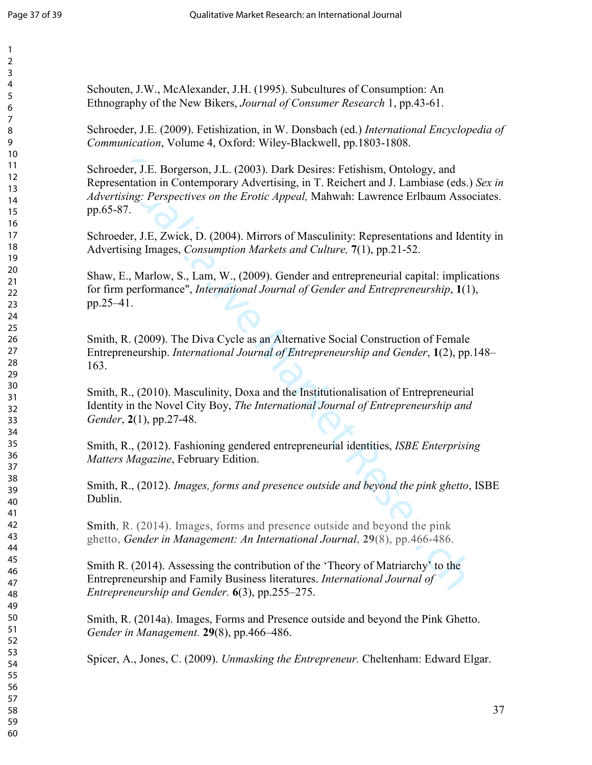| Schoute             |
|---------------------|
| Ethnogr             |
|                     |
| Schroed             |
| Commu.              |
| Schroed             |
| Represe             |
| Advertis            |
| pp.65-8             |
|                     |
| Schroed             |
| <b>Advertis</b>     |
|                     |
| Shaw, E             |
| for firm            |
| pp.25-4             |
|                     |
| Smith, I            |
| Entrepre            |
| 163.                |
|                     |
| Smith, I            |
| Identity            |
| Gender,             |
| Smith, I            |
| <b>Matters</b>      |
|                     |
| Smith, I            |
| Dublin.             |
|                     |
| Smith, l            |
| ghetto,             |
|                     |
| Smith R<br>Entrepre |
| Entrepr             |
|                     |
| Smith, I            |
| Gender              |
|                     |
| Spicer,             |
|                     |
|                     |
|                     |
|                     |
|                     |

n, J.W., McAlexander, J.H. (1995). Subcultures of Consumption: An aphy of the New Bikers, *Journal of Consumer Research* 1, pp.43-61.

Schroeder, J.E. (2009). Fetishization, in W. Donsbach (ed.) *International Encyclopedia of Communication*, Volume 4, Oxford: Wiley-Blackwell, pp.1803-1808.

Qualitative Market Research ler, J.E. Borgerson, J.L. (2003). Dark Desires: Fetishism, Ontology, and Intation in Contemporary Advertising, in T. Reichert and J. Lambiase (eds.) *Sex in Advertising: Perspectives on the Erotic Appeal,* Mahwah: Lawrence Erlbaum Associates. 7.

ler, J.E, Zwick, D. (2004). Mirrors of Masculinity: Representations and Identity in Againg Images, *Consumption Markets and Culture*, **7**(1), pp.21-52.

 $E_{\text{A}}$ , Marlow, S., Lam, W., (2009). Gender and entrepreneurial capital: implications for firm performance", *International Journal of Gender and Entrepreneurship*, **1**(1),  $\overline{1}$ .

R. (2009). The Diva Cycle as an Alternative Social Construction of Female eneurship. *International Journal of Entrepreneurship and Gender*, **1**(2), pp.148–

R., (2010). Masculinity, Doxa and the Institutionalisation of Entrepreneurial in the Novel City Boy, *The International Journal of Entrepreneurship and Gender*, **2**(1), pp.27-48.

R., (2012). Fashioning gendered entrepreneurial identities, *ISBE Enterprising Magazine*, February Edition.

R., (2012). *Images, forms and presence outside and beyond the pink ghetto*, ISBE Dublin.

R. (2014). Images, forms and presence outside and beyond the pink Gender in Management: An International Journal, 29(8), pp.466-486.

 $\lambda$ . (2014). Assessing the contribution of the 'Theory of Matriarchy' to the eneurship and Family Business literatures. *International Journal of Entrepreneurship and Gender.* **6**(3), pp.255–275.

R. (2014a). Images, Forms and Presence outside and beyond the Pink Ghetto. *in Management.* **29**(8), pp.466–486.

A., Jones, C. (2009). *Unmasking the Entrepreneur*. Cheltenham: Edward Elgar.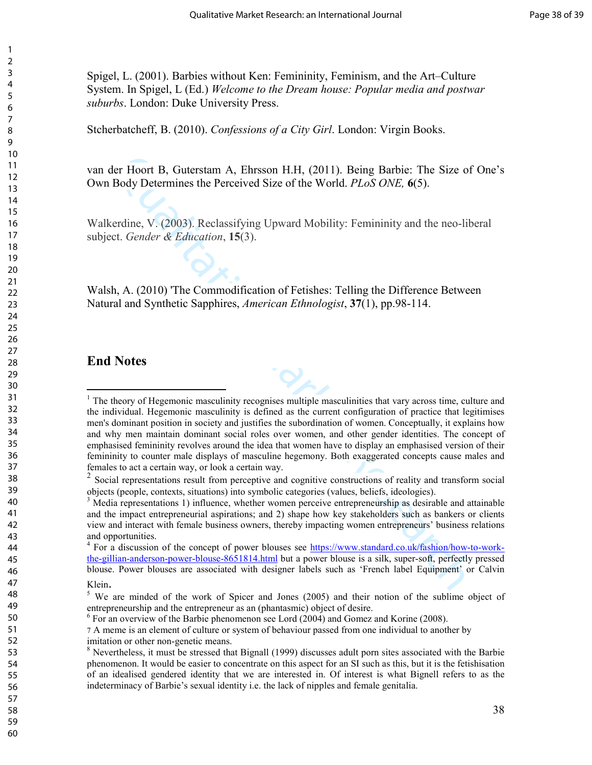Spigel, L. (2001). Barbies without Ken: Femininity, Feminism, and the Art–Culture System. In Spigel, L (Ed.) *Welcome to the Dream house: Popular media and postwar suburbs*. London: Duke University Press.

Stcherbatcheff, B. (2010). *Confessions of a City Girl*. London: Virgin Books.

van der Hoort B, Guterstam A, Ehrsson H.H, (2011). Being Barbie: The Size of One's Own Body Determines the Perceived Size of the World. *PLoS ONE,* **6**(5).

Walkerdine, V. (2003). Reclassifying Upward Mobility: Femininity and the neo-liberal subject. *Gender & Education*, **15**(3).

Walsh, A. (2010) 'The Commodification of Fetishes: Telling the Difference Between Natural and Synthetic Sapphires, *American Ethnologist*, **37**(1), pp.98-114.

### **End Notes**

 $\overline{a}$ 

er Hoort B, Guterstam A, Ehrsson H.H., (2011). Being Barbic: The Size of<br>Body Determines the Perceived Size of the World. *PLoS ONE*, 6(5).<br>
Ecrdine, V. (2003). Reclassifying Upward Mobility: Femininity and the neo-lib-<br> <sup>1</sup> The theory of Hegemonic masculinity recognises multiple masculinities that vary across time, culture and the individual. Hegemonic masculinity is defined as the current configuration of practice that legitimises men's dominant position in society and justifies the subordination of women. Conceptually, it explains how and why men maintain dominant social roles over women, and other gender identities. The concept of emphasised femininity revolves around the idea that women have to display an emphasised version of their femininity to counter male displays of masculine hegemony. Both exaggerated concepts cause males and females to act a certain way, or look a certain way.

 Social representations result from perceptive and cognitive constructions of reality and transform social objects (people, contexts, situations) into symbolic categories (values, beliefs, ideologies).

<sup>&</sup>lt;sup>3</sup> Media representations 1) influence, whether women perceive entrepreneurship as desirable and attainable and the impact entrepreneurial aspirations; and 2) shape how key stakeholders such as bankers or clients view and interact with female business owners, thereby impacting women entrepreneurs' business relations and opportunities.

<sup>&</sup>lt;sup>4</sup> For a discussion of the concept of power blouses see https://www.standard.co.uk/fashion/how-to-workthe-gillian-anderson-power-blouse-8651814.html but a power blouse is a silk, super-soft, perfectly pressed blouse. Power blouses are associated with designer labels such as 'French label Equipment' or Calvin Klein.

<sup>&</sup>lt;sup>5</sup> We are minded of the work of Spicer and Jones (2005) and their notion of the sublime object of entrepreneurship and the entrepreneur as an (phantasmic) object of desire.

For an overview of the Barbie phenomenon see Lord (2004) and Gomez and Korine (2008).

 A meme is an element of culture or system of behaviour passed from one individual to another by imitation or other non-genetic means.

<sup>&</sup>lt;sup>8</sup> Nevertheless, it must be stressed that Bignall (1999) discusses adult porn sites associated with the Barbie phenomenon. It would be easier to concentrate on this aspect for an SI such as this, but it is the fetishisation of an idealised gendered identity that we are interested in. Of interest is what Bignell refers to as the indeterminacy of Barbie's sexual identity i.e. the lack of nipples and female genitalia.